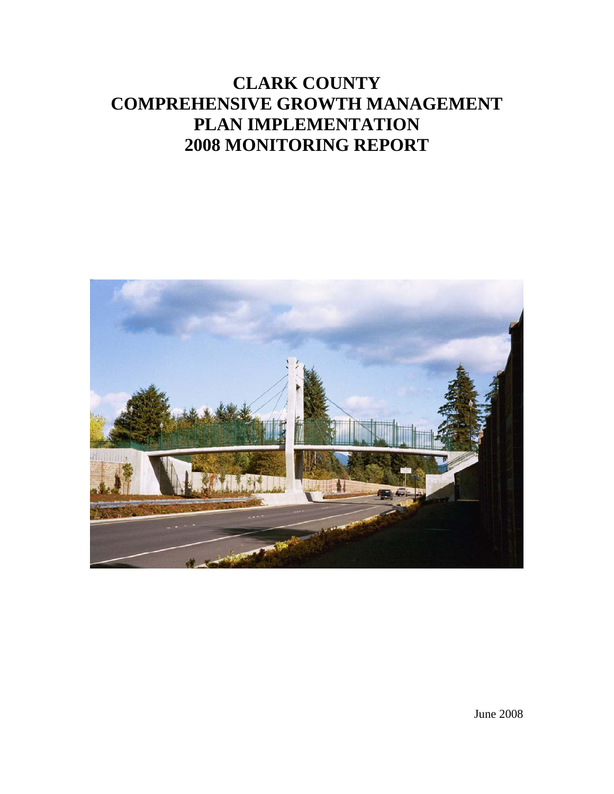# **CLARK COUNTY COMPREHENSIVE GROWTH MANAGEMENT PLAN IMPLEMENTATION 2008 MONITORING REPORT**

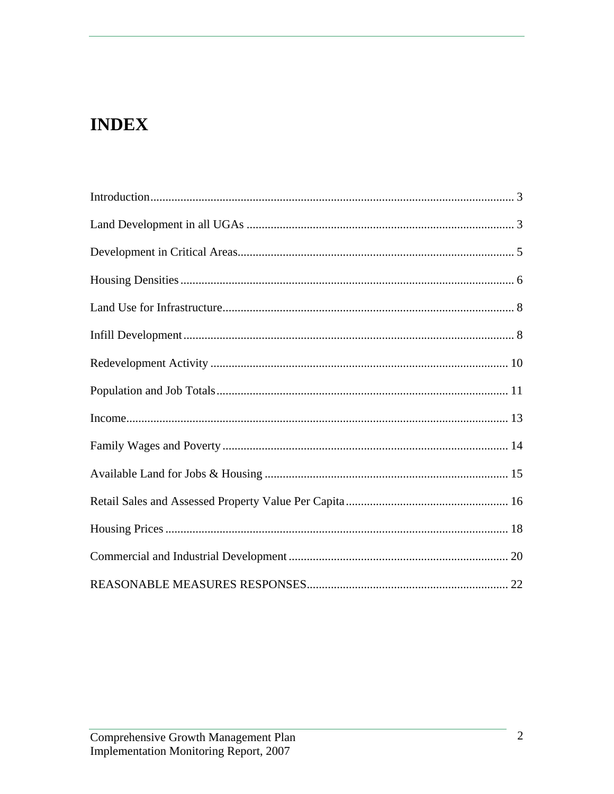# **INDEX**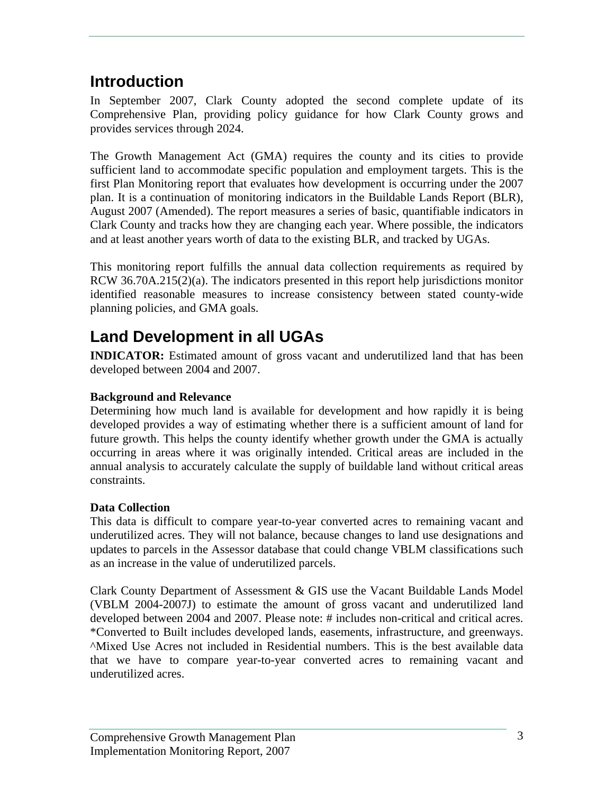# **Introduction**

In September 2007, Clark County adopted the second complete update of its Comprehensive Plan, providing policy guidance for how Clark County grows and provides services through 2024.

The Growth Management Act (GMA) requires the county and its cities to provide sufficient land to accommodate specific population and employment targets. This is the first Plan Monitoring report that evaluates how development is occurring under the 2007 plan. It is a continuation of monitoring indicators in the Buildable Lands Report (BLR), August 2007 (Amended). The report measures a series of basic, quantifiable indicators in Clark County and tracks how they are changing each year. Where possible, the indicators and at least another years worth of data to the existing BLR, and tracked by UGAs.

This monitoring report fulfills the annual data collection requirements as required by RCW 36.70A.215(2)(a). The indicators presented in this report help jurisdictions monitor identified reasonable measures to increase consistency between stated county-wide planning policies, and GMA goals.

# **Land Development in all UGAs**

**INDICATOR:** Estimated amount of gross vacant and underutilized land that has been developed between 2004 and 2007.

# **Background and Relevance**

Determining how much land is available for development and how rapidly it is being developed provides a way of estimating whether there is a sufficient amount of land for future growth. This helps the county identify whether growth under the GMA is actually occurring in areas where it was originally intended. Critical areas are included in the annual analysis to accurately calculate the supply of buildable land without critical areas constraints.

# **Data Collection**

This data is difficult to compare year-to-year converted acres to remaining vacant and underutilized acres. They will not balance, because changes to land use designations and updates to parcels in the Assessor database that could change VBLM classifications such as an increase in the value of underutilized parcels.

Clark County Department of Assessment & GIS use the Vacant Buildable Lands Model (VBLM 2004-2007J) to estimate the amount of gross vacant and underutilized land developed between 2004 and 2007. Please note: # includes non-critical and critical acres. \*Converted to Built includes developed lands, easements, infrastructure, and greenways. ^Mixed Use Acres not included in Residential numbers. This is the best available data that we have to compare year-to-year converted acres to remaining vacant and underutilized acres.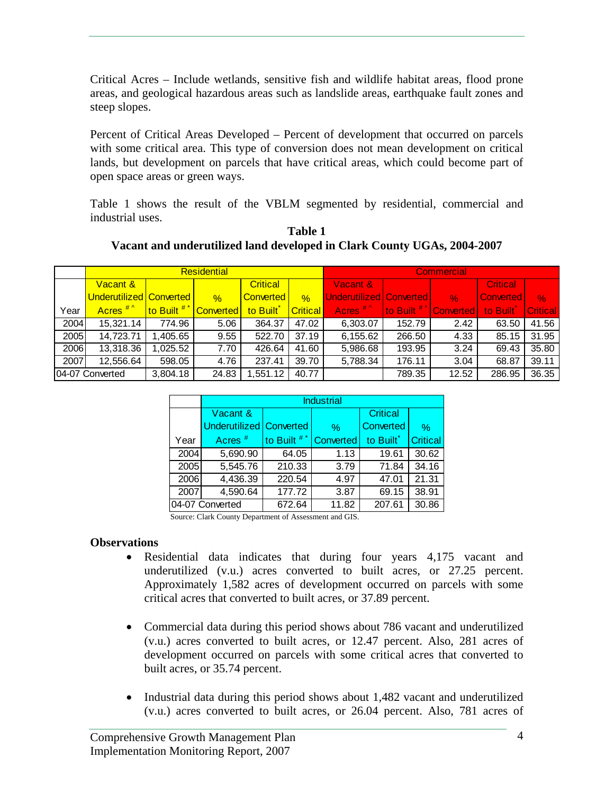Critical Acres – Include wetlands, sensitive fish and wildlife habitat areas, flood prone areas, and geological hazardous areas such as landslide areas, earthquake fault zones and steep slopes.

Percent of Critical Areas Developed – Percent of development that occurred on parcels with some critical area. This type of conversion does not mean development on critical lands, but development on parcels that have critical areas, which could become part of open space areas or green ways.

Table 1 shows the result of the VBLM segmented by residential, commercial and industrial uses. **Table 1** 

| Table 1                                                                 |
|-------------------------------------------------------------------------|
| Vacant and underutilized land developed in Clark County UGAs, 2004-2007 |

|      | Residential             |              |               |                       |                 |                         | <b>Commercial</b> |                  |                  |                 |  |
|------|-------------------------|--------------|---------------|-----------------------|-----------------|-------------------------|-------------------|------------------|------------------|-----------------|--|
|      | Vacant &                |              |               | <b>Critical</b>       |                 | Vacant &                |                   |                  | <b>Critical</b>  |                 |  |
|      | Underutilized Converted |              | $\frac{9}{6}$ | <b>Converted</b>      | $\frac{9}{6}$   | Underutilized Converted |                   | $\frac{0}{2}$    | <b>Converted</b> | $\%$            |  |
| Year | Acres <sup>#^\</sup>    | to Built #** | Converted     | to Built <sup>*</sup> | <b>Critical</b> | Acres <sup>#^</sup>     | to Built $#^*$    | <b>Converted</b> | to Built         | <b>Critical</b> |  |
| 2004 | 15,321.14               | 774.96       | 5.06          | 364.37                | 47.02           | 6,303.07                | 152.79            | 2.42             | 63.50            | 41.56           |  |
| 2005 | 14,723.71               | 1,405.65     | 9.55          | 522.70                | 37.19           | 6,155.62                | 266.50            | 4.33             | 85.15            | 31.95           |  |
| 2006 | 13,318.36               | 1,025.52     | 7.70          | 426.64                | 41.60           | 5,986.68                | 193.95            | 3.24             | 69.43            | 35.80           |  |
| 2007 | 12,556.64               | 598.05       | 4.76          | 237.41                | 39.70           | 5,788.34                | 176.11            | 3.04             | 68.87            | 39.11           |  |
|      | 04-07 Converted         | 3,804.18     | 24.83         | 1,551.12              | 40.77           |                         | 789.35            | 12.52            | 286.95           | 36.35           |  |

|      | <b>Industrial</b>              |                       |           |                       |                 |  |  |  |
|------|--------------------------------|-----------------------|-----------|-----------------------|-----------------|--|--|--|
|      | Vacant &                       |                       |           | <b>Critical</b>       |                 |  |  |  |
|      | <b>Underutilized Converted</b> |                       | $\%$      | Converted             | $\%$            |  |  |  |
| Year | Acres $#$                      | to Built <sup>#</sup> | Converted | to Built <sup>*</sup> | <b>Critical</b> |  |  |  |
| 2004 | 5,690.90                       | 64.05                 | 1.13      | 19.61                 | 30.62           |  |  |  |
| 2005 | 5,545.76                       | 210.33                | 3.79      | 71.84                 | 34.16           |  |  |  |
| 2006 | 4,436.39                       | 220.54                | 4.97      | 47.01                 | 21.31           |  |  |  |
| 2007 | 4,590.64                       | 177.72                | 3.87      | 69.15                 | 38.91           |  |  |  |
|      | 04-07 Converted                | 672.64                | 11.82     | 207.61                | 30.86           |  |  |  |

Source: Clark County Department of Assessment and GIS.

#### **Observations**

- Residential data indicates that during four years 4,175 vacant and underutilized (v.u.) acres converted to built acres, or 27.25 percent. Approximately 1,582 acres of development occurred on parcels with some critical acres that converted to built acres, or 37.89 percent.
- Commercial data during this period shows about 786 vacant and underutilized (v.u.) acres converted to built acres, or 12.47 percent. Also, 281 acres of development occurred on parcels with some critical acres that converted to built acres, or 35.74 percent.
- Industrial data during this period shows about 1,482 vacant and underutilized (v.u.) acres converted to built acres, or 26.04 percent. Also, 781 acres of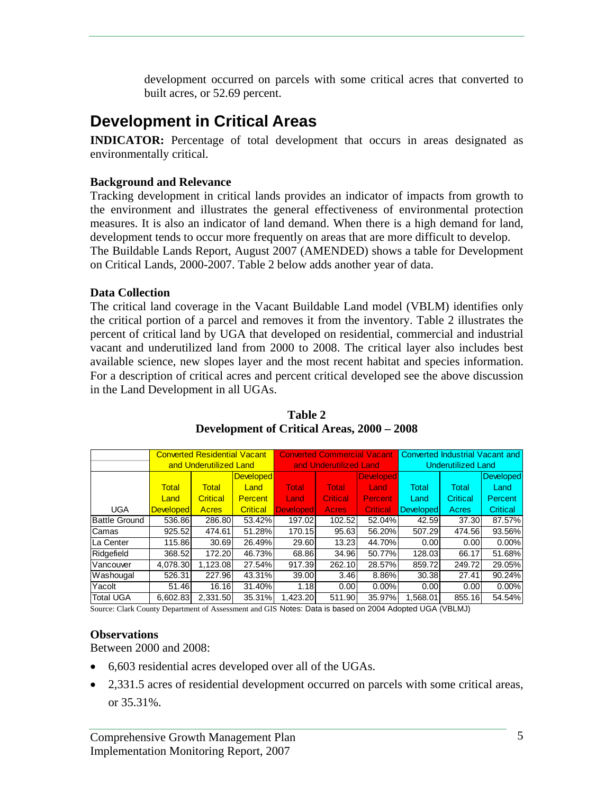development occurred on parcels with some critical acres that converted to built acres, or 52.69 percent.

# **Development in Critical Areas**

**INDICATOR:** Percentage of total development that occurs in areas designated as environmentally critical.

### **Background and Relevance**

Tracking development in critical lands provides an indicator of impacts from growth to the environment and illustrates the general effectiveness of environmental protection measures. It is also an indicator of land demand. When there is a high demand for land, development tends to occur more frequently on areas that are more difficult to develop. The Buildable Lands Report, August 2007 (AMENDED) shows a table for Development on Critical Lands, 2000-2007. Table 2 below adds another year of data.

### **Data Collection**

The critical land coverage in the Vacant Buildable Land model (VBLM) identifies only the critical portion of a parcel and removes it from the inventory. Table 2 illustrates the percent of critical land by UGA that developed on residential, commercial and industrial vacant and underutilized land from 2000 to 2008. The critical layer also includes best available science, new slopes layer and the most recent habitat and species information. For a description of critical acres and percent critical developed see the above discussion in the Land Development in all UGAs.

|                      |                  | <b>Converted Residential Vacant</b> |                  |              | <b>Converted Commercial Vacant</b> |                  |                  | <b>Converted Industrial Vacant and</b> |                  |  |
|----------------------|------------------|-------------------------------------|------------------|--------------|------------------------------------|------------------|------------------|----------------------------------------|------------------|--|
|                      |                  | and Underutilized Land              |                  |              | and Underutilized Land             |                  |                  | <b>Underutilized Land</b>              |                  |  |
|                      |                  |                                     | <b>Developed</b> |              |                                    | <b>Developed</b> |                  |                                        | <b>Developed</b> |  |
|                      | <b>Total</b>     | <b>Total</b>                        | Land             | <b>Total</b> | <b>Total</b>                       | Land             | <b>Total</b>     | Total                                  | Land             |  |
|                      | Land             | Critical                            | <b>Percent</b>   | Land         | Critical                           | Percent          | Land             | Critical                               | Percent          |  |
| <b>UGA</b>           | <b>Developed</b> | Acres                               | <b>Critical</b>  | Developedl   | <b>Acres</b>                       | Critical         | <b>Developed</b> | Acres                                  | Critical         |  |
| <b>Battle Ground</b> | 536.86           | 286.80                              | 53.42%           | 197.02       | 102.52                             | 52.04%           | 42.59            | 37.30                                  | 87.57%           |  |
| Camas                | 925.52           | 474.61                              | 51.28%           | 170.15       | 95.63                              | 56.20%           | 507.29           | 474.56                                 | 93.56%           |  |
| La Center            | 115.86           | 30.69                               | 26.49%           | 29.60        | 13.23                              | 44.70%           | 0.00             | 0.00                                   | $0.00\%$         |  |
| Ridgefield           | 368.52           | 172.20                              | 46.73%           | 68.86        | 34.96                              | 50.77%           | 128.03           | 66.17                                  | 51.68%           |  |
| Vancouver            | 4.078.30         | 1.123.08                            | 27.54%           | 917.39       | 262.10                             | 28.57%           | 859.72           | 249.72                                 | 29.05%           |  |
| Washougal            | 526.31           | 227.96                              | 43.31%           | 39.00        | 3.46                               | 8.86%            | 30.38            | 27.41                                  | 90.24%           |  |
| Yacolt               | 51.46            | 16.16                               | 31.40%           | 1.18         | 0.00                               | $0.00\%$         | 0.00             | 0.00                                   | $0.00\%$         |  |
| <b>Total UGA</b>     | 6.602.83         | 2.331.50                            | 35.31%           | 1.423.20     | 511.90                             | 35.97%           | 1.568.01         | 855.16                                 | 54.54%           |  |

**Table 2 Development of Critical Areas, 2000 – 2008** 

Source: Clark County Department of Assessment and GIS Notes: Data is based on 2004 Adopted UGA (VBLMJ)

### **Observations**

Between 2000 and 2008:

- 6,603 residential acres developed over all of the UGAs.
- 2,331.5 acres of residential development occurred on parcels with some critical areas, or 35.31%.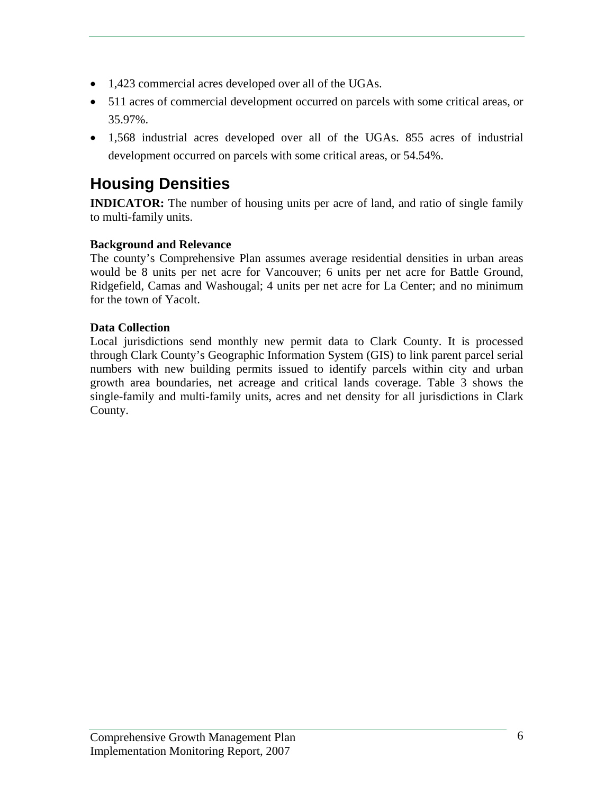- 1,423 commercial acres developed over all of the UGAs.
- 511 acres of commercial development occurred on parcels with some critical areas, or 35.97%.
- 1,568 industrial acres developed over all of the UGAs. 855 acres of industrial development occurred on parcels with some critical areas, or 54.54%.

# **Housing Densities**

**INDICATOR:** The number of housing units per acre of land, and ratio of single family to multi-family units.

# **Background and Relevance**

The county's Comprehensive Plan assumes average residential densities in urban areas would be 8 units per net acre for Vancouver; 6 units per net acre for Battle Ground, Ridgefield, Camas and Washougal; 4 units per net acre for La Center; and no minimum for the town of Yacolt.

# **Data Collection**

Local jurisdictions send monthly new permit data to Clark County. It is processed through Clark County's Geographic Information System (GIS) to link parent parcel serial numbers with new building permits issued to identify parcels within city and urban growth area boundaries, net acreage and critical lands coverage. Table 3 shows the single-family and multi-family units, acres and net density for all jurisdictions in Clark County.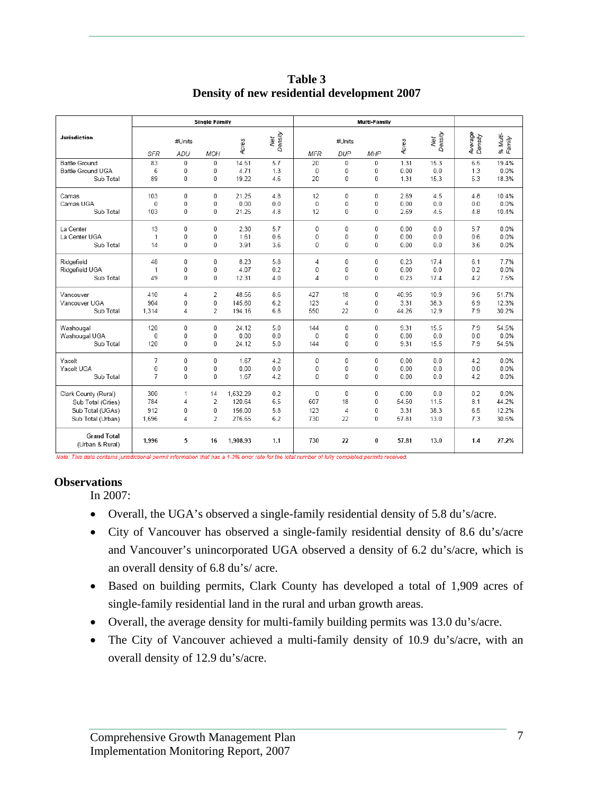**Table 3 Density of new residential development 2007** 

|                                       |       |               | <b>Single Family</b> |          |                |                |                      | <b>Multi-Family</b> |       |                |                    |                    |
|---------------------------------------|-------|---------------|----------------------|----------|----------------|----------------|----------------------|---------------------|-------|----------------|--------------------|--------------------|
| <b>Jurisdiction</b>                   | SFR   | #Units<br>ADU | <b>MOH</b>           | Acres    | Net<br>Density | <b>MFR</b>     | #Units<br><b>DUP</b> | <b>MHP</b>          | Acres | Net<br>Density | Average<br>Density | % Multi-<br>Family |
| <b>Battle Ground</b>                  | 83    | 0             | 0                    | 14.51    | 5.7            | 20             | 0                    | $\mathbf 0$         | 1.31  | 15.3           | 6.5                | 19.4%              |
| Battle Ground UGA                     | 6     | 0             | 0                    | 4.71     | 1.3            | 0              | 0                    | 0                   | 0.00  | 0.0            | 1.3                | 0.0%               |
| Sub Total                             | 89    | 0             | $\overline{0}$       | 19.22    | 4.6            | 20             | 0                    | 0                   | 1.31  | 15.3           | 5.3                | 18.3%              |
| Camas                                 | 103   | 0             | 0                    | 21.25    | 4.8            | 12             | 0                    | $\Omega$            | 2.69  | 4.5            | 4.8                | 10.4%              |
| Camas UGA                             | 0     | 0             | 0                    | 0.00     | 0.0            | $\Omega$       | 0                    | 0                   | 0.00  | 0.0            | 0.0                | 0.0%               |
| Sub Total                             | 103   | 0             | 0                    | 21.25    | 4.8            | 12             | 0                    | 0                   | 2.69  | 4.5            | 4.8                | 10.4%              |
| La Center                             | 13    | 0             | 0                    | 2.30     | 5.7            | 0              | 0                    | 0                   | 0.00  | 0.0            | 5.7                | 0.0%               |
| La Center UGA                         | 1     | 0             | $\overline{0}$       | 1.61     | 0.6            | $\mathbf 0$    | 0                    | 0                   | 0.00  | 0.0            | 0.6                | 0.0%               |
| Sub Total                             | 14    | 0             | $\overline{0}$       | 3.91     | 3.6            | 0              | 0                    | 0                   | 0.00  | 0.0            | 3.6                | 0.0%               |
| Ridgefield                            | 48    | 0             | $\Omega$             | 8.23     | 5.8            | 4              | $\Omega$             | $\Omega$            | 0.23  | 17.4           | 6.1                | 7.7%               |
| Ridgefield UGA                        | 1     | 0             | 0                    | 4.07     | 0.2            | 0              | 0                    | 0                   | 0.00  | 0.0            | 0.2                | 0.0%               |
| Sub Total                             | 49    | 0             | 0                    | 12.31    | 4.0            | $\overline{4}$ | 0                    | 0                   | 0.23  | 17.4           | 4.2                | 7.5%               |
| Vancouver                             | 410   | 4             | 2                    | 48.56    | 8.6            | 427            | 18                   | $\mathbf 0$         | 40.95 | 10.9           | 9.6                | 51.7%              |
| Vancouver UGA                         | 904   | 0             | 0                    | 145.60   | 6.2            | 123            | $\overline{4}$       | 0                   | 3.31  | 38.3           | 6.9                | 12.3%              |
| Sub Total                             | 1.314 | 4             | 2                    | 194.16   | 6.8            | 550            | 22                   | $\mathbf 0$         | 44.26 | 12.9           | 7.9                | 30.2%              |
| Washougal                             | 120   | 0             | 0                    | 24.12    | 5.0            | 144            | 0                    | 0                   | 9.31  | 15.5           | 7.9                | 54.5%              |
| Washougal UGA                         | 0     | 0             | 0                    | 0.00     | 0.0            | 0              | 0                    | 0                   | 0.00  | 0.0            | 0.0                | 0.0%               |
| Sub Total                             | 120   | 0             | $\Omega$             | 24.12    | 5.0            | 144            | 0                    | 0                   | 9.31  | 15.5           | 7.9                | 54.5%              |
| Yacolt                                | 7     | 0             | 0                    | 1.67     | 4.2            | $\mathbf 0$    | $\mathbf{0}$         | 0                   | 0.00  | 0.0            | 4.2                | 0.0%               |
| Yacolt UGA                            | 0     | 0             | 0                    | 0.00     | 0.0            | 0              | 0                    | 0                   | 0.00  | 0.0            | 0.0                | 0.0%               |
| Sub Total                             | 7     | 0             | $\overline{0}$       | 1.67     | 4.2            | 0              | 0                    | 0                   | 0.00  | 0.0            | 4.2                | 0.0%               |
| Clark County (Rural)                  | 300   | 1             | 14                   | 1,632.29 | 0.2            | $\Omega$       | 0                    | 0                   | 0.00  | 0.0            | 0.2                | 0.0%               |
| Sub Total (Cities)                    | 784   | 4             | 2                    | 120.64   | 6.5            | 607            | 18                   | 0                   | 54.50 | 11.5           | 8.1                | 44.2%              |
| Sub Total (UGAs)                      | 912   | 0             | 0                    | 156.00   | 5.8            | 123            | $\overline{4}$       | 0                   | 3.31  | 38.3           | 6.5                | 12.2%              |
| Sub Total (Urban)                     | 1,696 | 4             | 2                    | 276.65   | 6.2            | 730            | 22                   | 0                   | 57.81 | 13.0           | 7.3                | 30.6%              |
| <b>Grand Total</b><br>(Urban & Rural) | 1,996 | 5             | 16                   | 1.908.93 | 1.1            | 730            | 22                   | 0                   | 57.81 | 13.0           | 1.4                | 27.2%              |

Note: This data contains jurisdictional permit information that has a 1-3% error rate for the total number of fully completed permits received

#### **Observations**

In 2007:

- Overall, the UGA's observed a single-family residential density of 5.8 du's/acre.
- City of Vancouver has observed a single-family residential density of 8.6 du's/acre and Vancouver's unincorporated UGA observed a density of 6.2 du's/acre, which is an overall density of 6.8 du's/ acre.
- Based on building permits, Clark County has developed a total of 1,909 acres of single-family residential land in the rural and urban growth areas.
- Overall, the average density for multi-family building permits was 13.0 du's/acre.
- The City of Vancouver achieved a multi-family density of 10.9 du's/acre, with an overall density of 12.9 du's/acre.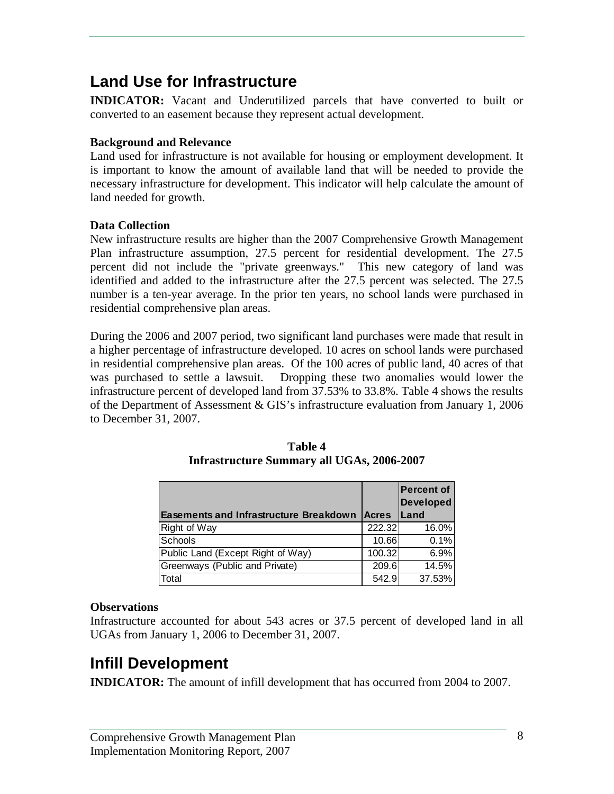# **Land Use for Infrastructure**

**INDICATOR:** Vacant and Underutilized parcels that have converted to built or converted to an easement because they represent actual development.

### **Background and Relevance**

Land used for infrastructure is not available for housing or employment development. It is important to know the amount of available land that will be needed to provide the necessary infrastructure for development. This indicator will help calculate the amount of land needed for growth.

#### **Data Collection**

New infrastructure results are higher than the 2007 Comprehensive Growth Management Plan infrastructure assumption, 27.5 percent for residential development. The 27.5 percent did not include the "private greenways." This new category of land was identified and added to the infrastructure after the 27.5 percent was selected. The 27.5 number is a ten-year average. In the prior ten years, no school lands were purchased in residential comprehensive plan areas.

During the 2006 and 2007 period, two significant land purchases were made that result in a higher percentage of infrastructure developed. 10 acres on school lands were purchased in residential comprehensive plan areas. Of the 100 acres of public land, 40 acres of that was purchased to settle a lawsuit. Dropping these two anomalies would lower the infrastructure percent of developed land from 37.53% to 33.8%. Table 4 shows the results of the Department of Assessment & GIS's infrastructure evaluation from January 1, 2006 to December 31, 2007.

|                                               |              | <b>Percent of</b><br><b>Developed</b> |
|-----------------------------------------------|--------------|---------------------------------------|
| <b>Easements and Infrastructure Breakdown</b> | <b>Acres</b> | <b>Land</b>                           |
| Right of Way                                  | 222.32       | 16.0%                                 |
| Schools                                       | 10.66        | 0.1%                                  |
| Public Land (Except Right of Way)             | 100.32       | 6.9%                                  |
| Greenways (Public and Private)                | 209.6        | 14.5%                                 |
| Total                                         | 542.9        | 37.53%                                |

**Table 4 Infrastructure Summary all UGAs, 2006-2007** 

#### **Observations**

Infrastructure accounted for about 543 acres or 37.5 percent of developed land in all UGAs from January 1, 2006 to December 31, 2007.

# **Infill Development**

**INDICATOR:** The amount of infill development that has occurred from 2004 to 2007.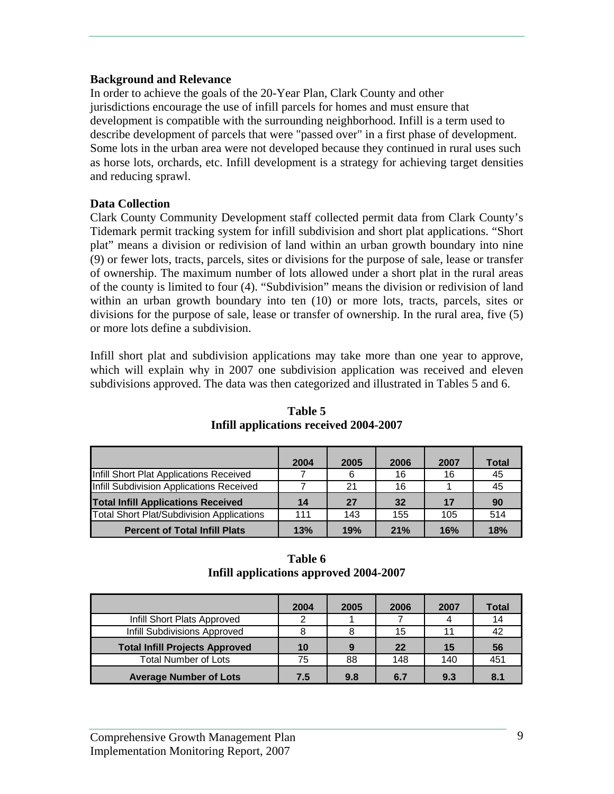#### **Background and Relevance**

In order to achieve the goals of the 20-Year Plan, Clark County and other jurisdictions encourage the use of infill parcels for homes and must ensure that development is compatible with the surrounding neighborhood. Infill is a term used to describe development of parcels that were "passed over" in a first phase of development. Some lots in the urban area were not developed because they continued in rural uses such as horse lots, orchards, etc. Infill development is a strategy for achieving target densities and reducing sprawl.

#### **Data Collection**

Clark County Community Development staff collected permit data from Clark County's Tidemark permit tracking system for infill subdivision and short plat applications. "Short plat" means a division or redivision of land within an urban growth boundary into nine (9) or fewer lots, tracts, parcels, sites or divisions for the purpose of sale, lease or transfer of ownership. The maximum number of lots allowed under a short plat in the rural areas of the county is limited to four (4). "Subdivision" means the division or redivision of land within an urban growth boundary into ten  $(10)$  or more lots, tracts, parcels, sites or divisions for the purpose of sale, lease or transfer of ownership. In the rural area, five (5) or more lots define a subdivision.

Infill short plat and subdivision applications may take more than one year to approve, which will explain why in 2007 one subdivision application was received and eleven subdivisions approved. The data was then categorized and illustrated in Tables 5 and 6.

|                                                                                               | 2004 | 2005 | 2006 | 2007 | <b>Total</b> |
|-----------------------------------------------------------------------------------------------|------|------|------|------|--------------|
| Infill Short Plat Applications Received                                                       |      |      | 16   | 16   | 45           |
| Infill Subdivision Applications Received                                                      |      | 21   | 16   |      | 45           |
|                                                                                               |      |      |      |      |              |
|                                                                                               | 14   | 27   | 32   | 17   | 90           |
| <b>Total Infill Applications Received</b><br><b>Total Short Plat/Subdivision Applications</b> | 111  | 143  | 155  | 105  | 514          |

**Table 5 Infill applications received 2004-2007** 

**Table 6 Infill applications approved 2004-2007** 

|                                       | 2004 | 2005 | 2006 | 2007 | <b>Total</b> |
|---------------------------------------|------|------|------|------|--------------|
| Infill Short Plats Approved           | ⌒    |      |      |      | 14           |
| Infill Subdivisions Approved          |      |      | 15   | 11   | 42           |
| <b>Total Infill Projects Approved</b> | 10   |      | 22   | 15   | 56           |
| <b>Total Number of Lots</b>           | 75   | 88   | 148  | 140  | 451          |
| <b>Average Number of Lots</b>         | 7.5  | 9.8  | 6.7  | 9.3  | 8.1          |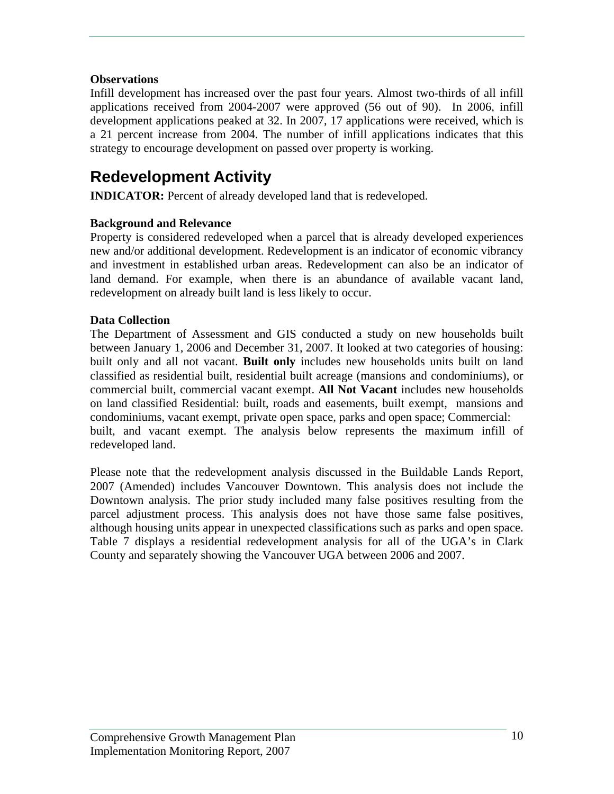### **Observations**

Infill development has increased over the past four years. Almost two-thirds of all infill applications received from 2004-2007 were approved (56 out of 90). In 2006, infill development applications peaked at 32. In 2007, 17 applications were received, which is a 21 percent increase from 2004. The number of infill applications indicates that this strategy to encourage development on passed over property is working.

# **Redevelopment Activity**

**INDICATOR:** Percent of already developed land that is redeveloped.

#### **Background and Relevance**

Property is considered redeveloped when a parcel that is already developed experiences new and/or additional development. Redevelopment is an indicator of economic vibrancy and investment in established urban areas. Redevelopment can also be an indicator of land demand. For example, when there is an abundance of available vacant land, redevelopment on already built land is less likely to occur.

#### **Data Collection**

The Department of Assessment and GIS conducted a study on new households built between January 1, 2006 and December 31, 2007. It looked at two categories of housing: built only and all not vacant. **Built only** includes new households units built on land classified as residential built, residential built acreage (mansions and condominiums), or commercial built, commercial vacant exempt. **All Not Vacant** includes new households on land classified Residential: built, roads and easements, built exempt, mansions and condominiums, vacant exempt, private open space, parks and open space; Commercial: built, and vacant exempt. The analysis below represents the maximum infill of redeveloped land.

Please note that the redevelopment analysis discussed in the Buildable Lands Report, 2007 (Amended) includes Vancouver Downtown. This analysis does not include the Downtown analysis. The prior study included many false positives resulting from the parcel adjustment process. This analysis does not have those same false positives, although housing units appear in unexpected classifications such as parks and open space. Table 7 displays a residential redevelopment analysis for all of the UGA's in Clark County and separately showing the Vancouver UGA between 2006 and 2007.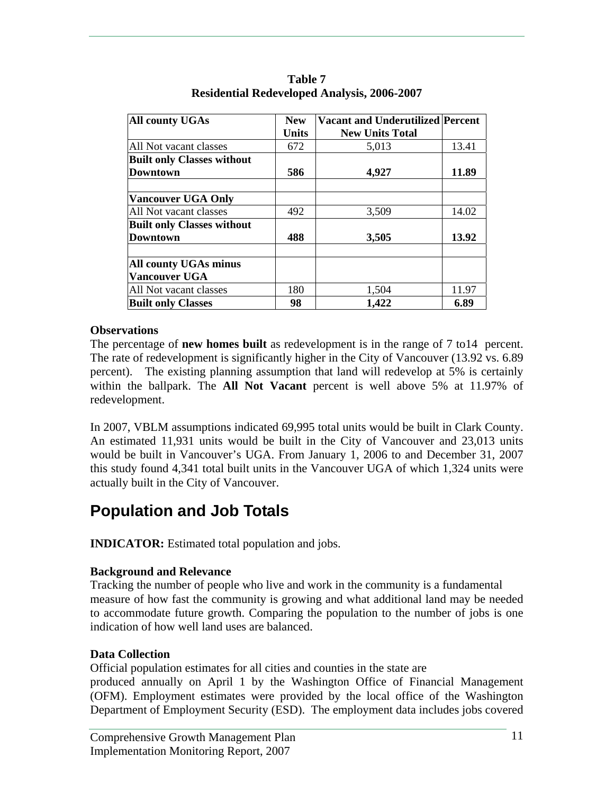| <b>All county UGAs</b>            | <b>New</b>   | <b>Vacant and Underutilized Percent</b> |       |
|-----------------------------------|--------------|-----------------------------------------|-------|
|                                   | <b>Units</b> | <b>New Units Total</b>                  |       |
| All Not vacant classes            | 672          | 5,013                                   | 13.41 |
| <b>Built only Classes without</b> |              |                                         |       |
| <b>Downtown</b>                   | 586          | 4,927                                   | 11.89 |
| <b>Vancouver UGA Only</b>         |              |                                         |       |
| All Not vacant classes            | 492          | 3,509                                   | 14.02 |
| <b>Built only Classes without</b> |              |                                         |       |
| <b>Downtown</b>                   | 488          | 3,505                                   | 13.92 |
| <b>All county UGAs minus</b>      |              |                                         |       |
| <b>Vancouver UGA</b>              |              |                                         |       |
| All Not vacant classes            | 180          | 1,504                                   | 11.97 |
| <b>Built only Classes</b>         | 98           | 1,422                                   | 6.89  |

**Table 7 Residential Redeveloped Analysis, 2006-2007** 

#### **Observations**

The percentage of **new homes built** as redevelopment is in the range of 7 to14 percent. The rate of redevelopment is significantly higher in the City of Vancouver (13.92 vs. 6.89 percent). The existing planning assumption that land will redevelop at 5% is certainly within the ballpark. The **All Not Vacant** percent is well above 5% at 11.97% of redevelopment.

In 2007, VBLM assumptions indicated 69,995 total units would be built in Clark County. An estimated 11,931 units would be built in the City of Vancouver and 23,013 units would be built in Vancouver's UGA. From January 1, 2006 to and December 31, 2007 this study found 4,341 total built units in the Vancouver UGA of which 1,324 units were actually built in the City of Vancouver.

# **Population and Job Totals**

**INDICATOR:** Estimated total population and jobs.

### **Background and Relevance**

Tracking the number of people who live and work in the community is a fundamental measure of how fast the community is growing and what additional land may be needed to accommodate future growth. Comparing the population to the number of jobs is one indication of how well land uses are balanced.

### **Data Collection**

Official population estimates for all cities and counties in the state are produced annually on April 1 by the Washington Office of Financial Management (OFM). Employment estimates were provided by the local office of the Washington Department of Employment Security (ESD). The employment data includes jobs covered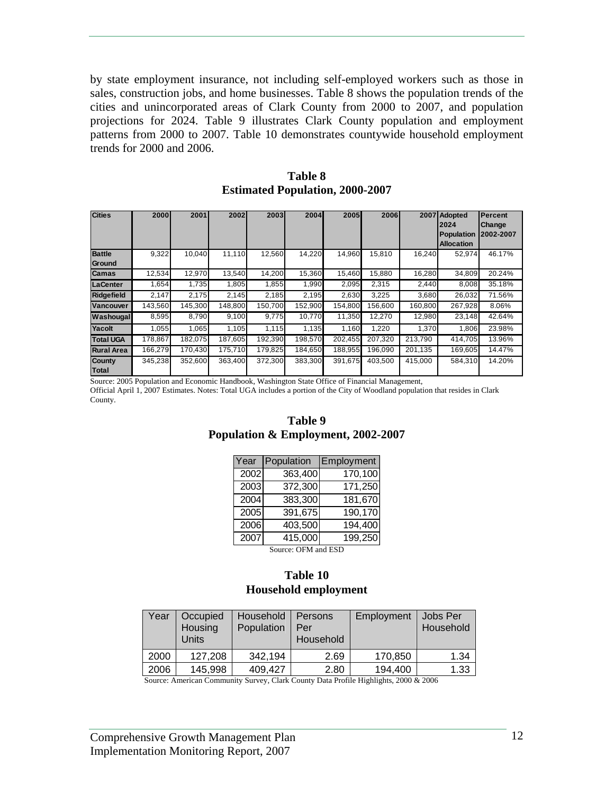by state employment insurance, not including self-employed workers such as those in sales, construction jobs, and home businesses. Table 8 shows the population trends of the cities and unincorporated areas of Clark County from 2000 to 2007, and population projections for 2024. Table 9 illustrates Clark County population and employment patterns from 2000 to 2007. Table 10 demonstrates countywide household employment trends for 2000 and 2006.

| <b>Cities</b>                  | 2000    | 2001    | 2002    | 2003    | 2004    | 2005    | 2006    | 2007    | <b>Adopted</b><br>2024<br>Population<br><b>Allocation</b> | Percent<br>Change<br>2002-2007 |
|--------------------------------|---------|---------|---------|---------|---------|---------|---------|---------|-----------------------------------------------------------|--------------------------------|
| <b>Battle</b><br><b>Ground</b> | 9,322   | 10.040  | 11,110  | 12.560  | 14,220  | 14,960  | 15.810  | 16.240  | 52.974                                                    | 46.17%                         |
| <b>Camas</b>                   | 12,534  | 12,970  | 13,540  | 14.200  | 15,360  | 15,460  | 15,880  | 16,280  | 34,809                                                    | 20.24%                         |
| <b>LaCenter</b>                | 1,654   | 1,735   | 1,805   | 1,855   | 1,990   | 2,095   | 2,315   | 2,440   | 8,008                                                     | 35.18%                         |
| <b>Ridgefield</b>              | 2,147   | 2,175   | 2,145   | 2,185   | 2,195   | 2,630   | 3,225   | 3.680   | 26,032                                                    | 71.56%                         |
| Vancouver                      | 143,560 | 145,300 | 148,800 | 150,700 | 152,900 | 154,800 | 156.600 | 160,800 | 267,928                                                   | 8.06%                          |
| Washougal                      | 8,595   | 8,790   | 9,100   | 9,775   | 10,770  | 11,350  | 12,270  | 12,980  | 23,148                                                    | 42.64%                         |
| Yacolt                         | 1,055   | 1,065   | 1,105   | 1,115   | 1,135   | 1,160   | 1,220   | 1.370   | 1,806                                                     | 23.98%                         |
| <b>Total UGA</b>               | 178,867 | 182,075 | 187,605 | 192,390 | 198,570 | 202,455 | 207,320 | 213,790 | 414,705                                                   | 13.96%                         |
| <b>Rural Area</b>              | 166,279 | 170.430 | 175.710 | 179,825 | 184.650 | 188,955 | 196.090 | 201,135 | 169,605                                                   | 14.47%                         |
| County<br><b>Total</b>         | 345,238 | 352.600 | 363.400 | 372,300 | 383,300 | 391.675 | 403.500 | 415,000 | 584.310                                                   | 14.20%                         |

**Table 8 Estimated Population, 2000-2007** 

Source: 2005 Population and Economic Handbook, Washington State Office of Financial Management, Official April 1, 2007 Estimates. Notes: Total UGA includes a portion of the City of Woodland population that resides in Clark County.

#### **Table 9 Population & Employment, 2002-2007**

| Year | Population | <b>Employment</b> |
|------|------------|-------------------|
| 2002 | 363,400    | 170,100           |
| 2003 | 372,300    | 171,250           |
| 2004 | 383,300    | 181,670           |
| 2005 | 391,675    | 190,170           |
| 2006 | 403,500    | 194,400           |
| 2007 | 415,000    | 199,250           |

Source: OFM and ESD

#### **Table 10 Household employment**

| Year | Occupied<br>Housing<br>Units | Household<br>Population | Persons<br>Per<br>Household | Employment | Jobs Per<br>Household |
|------|------------------------------|-------------------------|-----------------------------|------------|-----------------------|
| 2000 | 127,208                      | 342.194                 | 2.69                        | 170,850    | 1.34                  |
| 2006 | 145,998                      | 409,427                 | 2.80                        | 194,400    | 1.33                  |

Source: American Community Survey, Clark County Data Profile Highlights, 2000 & 2006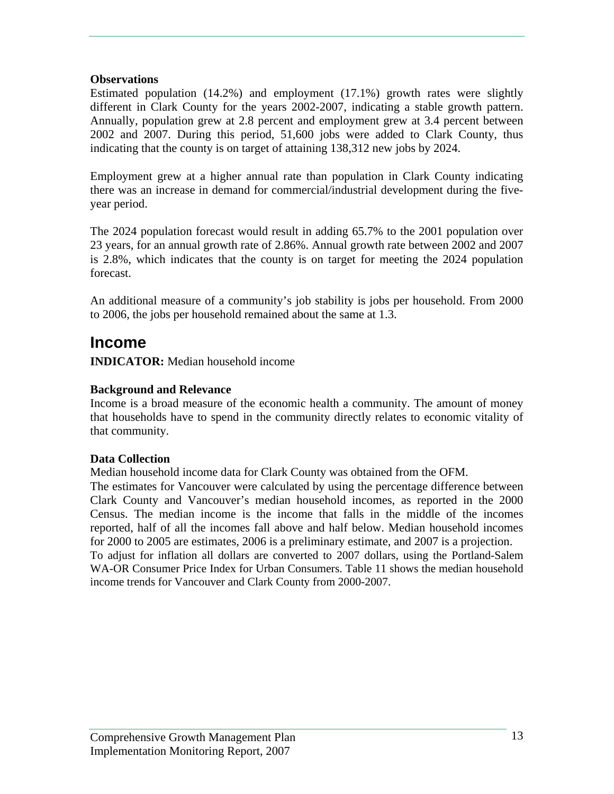#### **Observations**

Estimated population (14.2%) and employment (17.1%) growth rates were slightly different in Clark County for the years 2002-2007, indicating a stable growth pattern. Annually, population grew at 2.8 percent and employment grew at 3.4 percent between 2002 and 2007. During this period, 51,600 jobs were added to Clark County, thus indicating that the county is on target of attaining 138,312 new jobs by 2024.

Employment grew at a higher annual rate than population in Clark County indicating there was an increase in demand for commercial/industrial development during the fiveyear period.

The 2024 population forecast would result in adding 65.7% to the 2001 population over 23 years, for an annual growth rate of 2.86%. Annual growth rate between 2002 and 2007 is 2.8%, which indicates that the county is on target for meeting the 2024 population forecast.

An additional measure of a community's job stability is jobs per household. From 2000 to 2006, the jobs per household remained about the same at 1.3.

# **Income**

**INDICATOR:** Median household income

### **Background and Relevance**

Income is a broad measure of the economic health a community. The amount of money that households have to spend in the community directly relates to economic vitality of that community.

### **Data Collection**

Median household income data for Clark County was obtained from the OFM.

The estimates for Vancouver were calculated by using the percentage difference between Clark County and Vancouver's median household incomes, as reported in the 2000 Census. The median income is the income that falls in the middle of the incomes reported, half of all the incomes fall above and half below. Median household incomes for 2000 to 2005 are estimates, 2006 is a preliminary estimate, and 2007 is a projection. To adjust for inflation all dollars are converted to 2007 dollars, using the Portland-Salem WA-OR Consumer Price Index for Urban Consumers. Table 11 shows the median household income trends for Vancouver and Clark County from 2000-2007.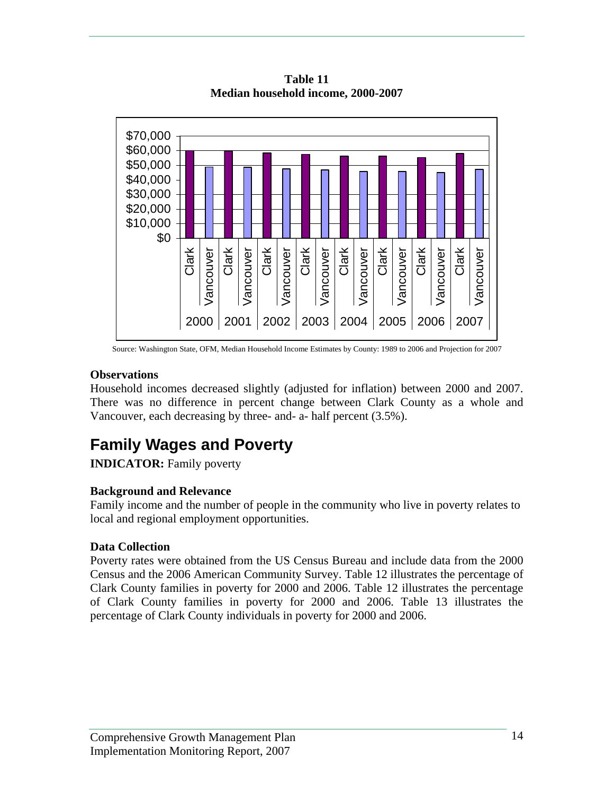

**Table 11 Median household income, 2000-2007** 

Source: Washington State, OFM, Median Household Income Estimates by County: 1989 to 2006 and Projection for 2007

#### **Observations**

Household incomes decreased slightly (adjusted for inflation) between 2000 and 2007. There was no difference in percent change between Clark County as a whole and Vancouver, each decreasing by three- and- a- half percent (3.5%).

# **Family Wages and Poverty**

**INDICATOR:** Family poverty

### **Background and Relevance**

Family income and the number of people in the community who live in poverty relates to local and regional employment opportunities.

### **Data Collection**

Poverty rates were obtained from the US Census Bureau and include data from the 2000 Census and the 2006 American Community Survey. Table 12 illustrates the percentage of Clark County families in poverty for 2000 and 2006. Table 12 illustrates the percentage of Clark County families in poverty for 2000 and 2006. Table 13 illustrates the percentage of Clark County individuals in poverty for 2000 and 2006.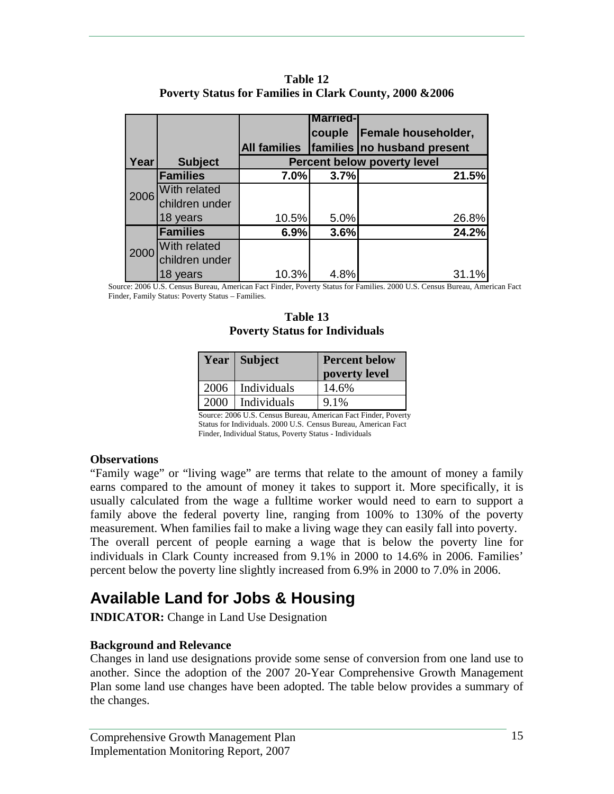|      |                 |                     | <b>Married-</b> |                                    |
|------|-----------------|---------------------|-----------------|------------------------------------|
|      |                 |                     | couple          | Female householder,                |
|      |                 | <b>All families</b> |                 | families no husband present        |
| Year | <b>Subject</b>  |                     |                 | <b>Percent below poverty level</b> |
|      | <b>Families</b> | 7.0%                | 3.7%            | 21.5%                              |
| 2006 | With related    |                     |                 |                                    |
|      | children under  |                     |                 |                                    |
|      | 18 years        | 10.5%               | 5.0%            | 26.8%                              |
|      | <b>Families</b> | 6.9%                | 3.6%            | 24.2%                              |
| 2000 | With related    |                     |                 |                                    |
|      | children under  |                     |                 |                                    |
|      | 18 years        | 10.3%               | 4.8%            | 31.1                               |

**Table 12 Poverty Status for Families in Clark County, 2000 &2006** 

Source: 2006 U.S. Census Bureau, American Fact Finder, Poverty Status for Families. 2000 U.S. Census Bureau, American Fact Finder, Family Status: Poverty Status – Families.

**Table 13 Poverty Status for Individuals** 

|      | <b>Year   Subject</b> | <b>Percent below</b><br>poverty level |
|------|-----------------------|---------------------------------------|
|      | $2006$   Individuals  | 14.6%                                 |
| 2000 | Individuals           | 9.1%                                  |

Source: 2006 U.S. Census Bureau, American Fact Finder, Poverty Status for Individuals. 2000 U.S. Census Bureau, American Fact Finder, Individual Status, Poverty Status - Individuals

#### **Observations**

"Family wage" or "living wage" are terms that relate to the amount of money a family earns compared to the amount of money it takes to support it. More specifically, it is usually calculated from the wage a fulltime worker would need to earn to support a family above the federal poverty line, ranging from 100% to 130% of the poverty measurement. When families fail to make a living wage they can easily fall into poverty. The overall percent of people earning a wage that is below the poverty line for individuals in Clark County increased from 9.1% in 2000 to 14.6% in 2006. Families' percent below the poverty line slightly increased from 6.9% in 2000 to 7.0% in 2006.

# **Available Land for Jobs & Housing**

**INDICATOR:** Change in Land Use Designation

### **Background and Relevance**

Changes in land use designations provide some sense of conversion from one land use to another. Since the adoption of the 2007 20-Year Comprehensive Growth Management Plan some land use changes have been adopted. The table below provides a summary of the changes.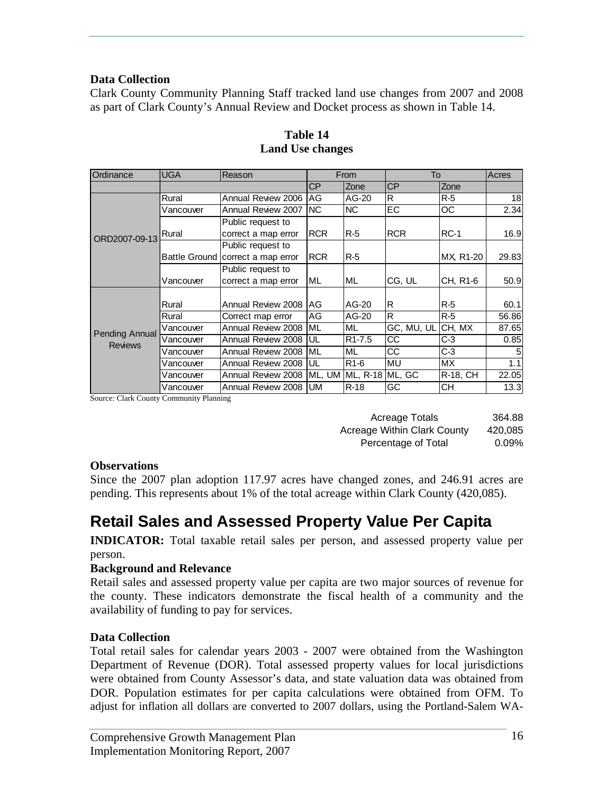### **Data Collection**

Clark County Community Planning Staff tracked land use changes from 2007 and 2008 as part of Clark County's Annual Review and Docket process as shown in Table 14.

| Ordinance      | <b>UGA</b>           | Reason              | To<br>From |                     |             | Acres     |       |
|----------------|----------------------|---------------------|------------|---------------------|-------------|-----------|-------|
|                |                      |                     | CP         | Zone                | CP          | Zone      |       |
|                | Rural                | Annual Review 2006  | <b>IAG</b> | AG-20               | R           | $R-5$     | 18    |
|                | Vancouver            | Annual Review 2007  | INC.       | <b>NC</b>           | EC          | OС        | 2.34  |
|                |                      | Public request to   |            |                     |             |           |       |
| ORD2007-09-13  | Rural                | correct a map error | <b>RCR</b> | $R-5$               | <b>RCR</b>  | $RC-1$    | 16.9  |
|                |                      | Public request to   |            |                     |             |           |       |
|                | <b>Battle Ground</b> | correct a map error | <b>RCR</b> | $R-5$               |             | MX, R1-20 | 29.83 |
|                |                      | Public request to   |            |                     |             |           |       |
|                | Vancouver            | correct a map error | <b>ML</b>  | ML                  | CG, UL      | CH, R1-6  | 50.9  |
|                |                      |                     |            |                     |             |           |       |
|                | Rural                | Annual Review 2008  | IAG        | AG-20               | $\mathsf R$ | $R-5$     | 60.1  |
|                | Rural                | Correct map error   | AG         | AG-20               | R           | $R-5$     | 56.86 |
| Pending Annual | Vancouver            | Annual Review 2008  | <b>IML</b> | ML                  | GC, MU, UL  | CH, MX    | 87.65 |
| <b>Reviews</b> | Vancouver            | Annual Review 2008  | IUL        | R <sub>1</sub> -7.5 | CC          | C-3       | 0.85  |
|                | Vancouver            | Annual Review 2008  | <b>IML</b> | ML                  | CС          | $C-3$     |       |
|                | Vancouver            | Annual Review 2008  | IUL.       | R <sub>1</sub> -6   | MU          | <b>MX</b> | 1.1   |
|                | Vancouver            | Annual Review 2008  | ML, UM     | <b>ML, R-18</b>     | ML, GC      | R-18, CH  | 22.05 |
|                | Vancouver            | Annual Review 2008  | <b>IUM</b> | $R-18$              | GC          | <b>CH</b> | 13.3  |

**Table 14 Land Use changes** 

Source: Clark County Community Planning

| Acreage Totals              | 364.88   |
|-----------------------------|----------|
| Acreage Within Clark County | 420.085  |
| Percentage of Total         | $0.09\%$ |

### **Observations**

Since the 2007 plan adoption 117.97 acres have changed zones, and 246.91 acres are pending. This represents about 1% of the total acreage within Clark County (420,085).

# **Retail Sales and Assessed Property Value Per Capita**

**INDICATOR:** Total taxable retail sales per person, and assessed property value per person.

# **Background and Relevance**

Retail sales and assessed property value per capita are two major sources of revenue for the county. These indicators demonstrate the fiscal health of a community and the availability of funding to pay for services.

# **Data Collection**

Total retail sales for calendar years 2003 - 2007 were obtained from the Washington Department of Revenue (DOR). Total assessed property values for local jurisdictions were obtained from County Assessor's data, and state valuation data was obtained from DOR. Population estimates for per capita calculations were obtained from OFM. To adjust for inflation all dollars are converted to 2007 dollars, using the Portland-Salem WA-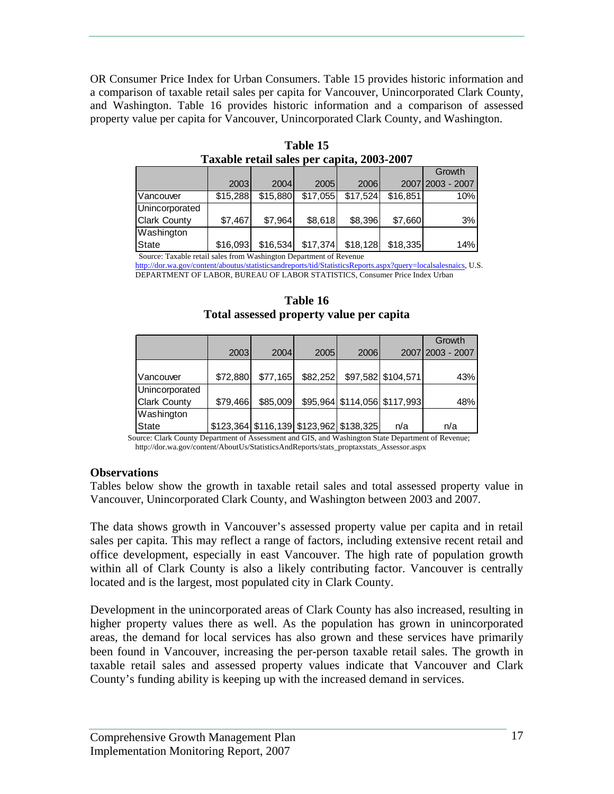OR Consumer Price Index for Urban Consumers. Table 15 provides historic information and a comparison of taxable retail sales per capita for Vancouver, Unincorporated Clark County, and Washington. Table 16 provides historic information and a comparison of assessed property value per capita for Vancouver, Unincorporated Clark County, and Washington.

|                     |          |          |          |          |          | Growth           |
|---------------------|----------|----------|----------|----------|----------|------------------|
|                     | 2003     | 2004     | 2005     | 2006     |          | 2007 2003 - 2007 |
| Vancouver           | \$15,288 | \$15,880 | \$17.055 | \$17,524 | \$16,851 | 10%              |
| Unincorporated      |          |          |          |          |          |                  |
| <b>Clark County</b> | \$7,467  | \$7,964  | \$8,618  | \$8,396  | \$7,660  | 3%               |
| Washington          |          |          |          |          |          |                  |
| State               | \$16,093 | \$16,534 | \$17,374 | \$18,128 | \$18,335 | 14%              |

**Table 15 Taxable retail sales per capita, 2003-2007**

Source: Taxable retail sales from Washington Department of Revenue

http://dor.wa.gov/content/aboutus/statisticsandreports/tid/StatisticsReports.aspx?query=localsalesnaics, U.S. DEPARTMENT OF LABOR, BUREAU OF LABOR STATISTICS, Consumer Price Index Urban

| Table 16                                 |  |  |  |  |  |  |  |
|------------------------------------------|--|--|--|--|--|--|--|
| Total assessed property value per capita |  |  |  |  |  |  |  |

|                     |          |          |          |                                         |                    | Growth           |
|---------------------|----------|----------|----------|-----------------------------------------|--------------------|------------------|
|                     | 2003     | 2004     | 2005     | 2006                                    |                    | 2007 2003 - 2007 |
|                     |          |          |          |                                         |                    |                  |
| Vancouver           | \$72,880 | \$77,165 | \$82,252 |                                         | \$97,582 \$104,571 | 43%              |
| Unincorporated      |          |          |          |                                         |                    |                  |
| <b>Clark County</b> | \$79,466 | \$85,009 |          | \$95,964 \$114,056 \$117,993            |                    | 48%              |
| Washington          |          |          |          |                                         |                    |                  |
| State               |          |          |          | \$123,364 \$116,139 \$123,962 \$138,325 | n/a                | n/a              |

 Source: Clark County Department of Assessment and GIS, and Washington State Department of Revenue; http://dor.wa.gov/content/AboutUs/StatisticsAndReports/stats\_proptaxstats\_Assessor.aspx

#### **Observations**

Tables below show the growth in taxable retail sales and total assessed property value in Vancouver, Unincorporated Clark County, and Washington between 2003 and 2007.

The data shows growth in Vancouver's assessed property value per capita and in retail sales per capita. This may reflect a range of factors, including extensive recent retail and office development, especially in east Vancouver. The high rate of population growth within all of Clark County is also a likely contributing factor. Vancouver is centrally located and is the largest, most populated city in Clark County.

Development in the unincorporated areas of Clark County has also increased, resulting in higher property values there as well. As the population has grown in unincorporated areas, the demand for local services has also grown and these services have primarily been found in Vancouver, increasing the per-person taxable retail sales. The growth in taxable retail sales and assessed property values indicate that Vancouver and Clark County's funding ability is keeping up with the increased demand in services.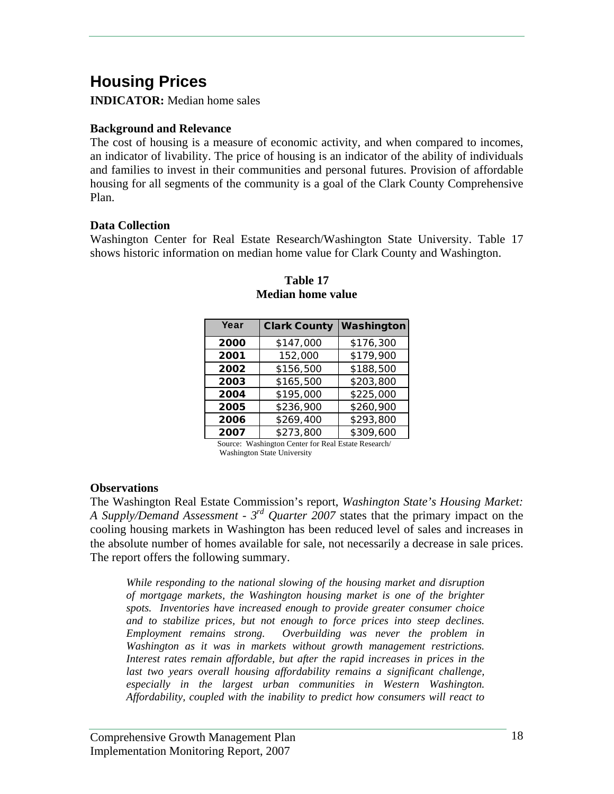# **Housing Prices**

**INDICATOR:** Median home sales

### **Background and Relevance**

The cost of housing is a measure of economic activity, and when compared to incomes, an indicator of livability. The price of housing is an indicator of the ability of individuals and families to invest in their communities and personal futures. Provision of affordable housing for all segments of the community is a goal of the Clark County Comprehensive Plan.

#### **Data Collection**

Washington Center for Real Estate Research/Washington State University. Table 17 shows historic information on median home value for Clark County and Washington.

| Year | <b>Clark County</b> | Washington |
|------|---------------------|------------|
| 2000 | \$147,000           | \$176,300  |
| 2001 | 152,000             | \$179,900  |
| 2002 | \$156,500           | \$188,500  |
| 2003 | \$165,500           | \$203,800  |
| 2004 | \$195,000           | \$225,000  |
| 2005 | \$236,900           | \$260,900  |
| 2006 | \$269,400           | \$293,800  |
| 2007 | \$273,800           | \$309,600  |

#### **Table 17 Median home value**

 Source: Washington Center for Real Estate Research/ Washington State University

### **Observations**

The Washington Real Estate Commission's report, *Washington State's Housing Market: A Supply/Demand Assessment - 3rd Quarter 2007* states that the primary impact on the cooling housing markets in Washington has been reduced level of sales and increases in the absolute number of homes available for sale, not necessarily a decrease in sale prices. The report offers the following summary.

*While responding to the national slowing of the housing market and disruption of mortgage markets, the Washington housing market is one of the brighter spots. Inventories have increased enough to provide greater consumer choice and to stabilize prices, but not enough to force prices into steep declines. Employment remains strong. Overbuilding was never the problem in Washington as it was in markets without growth management restrictions. Interest rates remain affordable, but after the rapid increases in prices in the last two years overall housing affordability remains a significant challenge, especially in the largest urban communities in Western Washington. Affordability, coupled with the inability to predict how consumers will react to*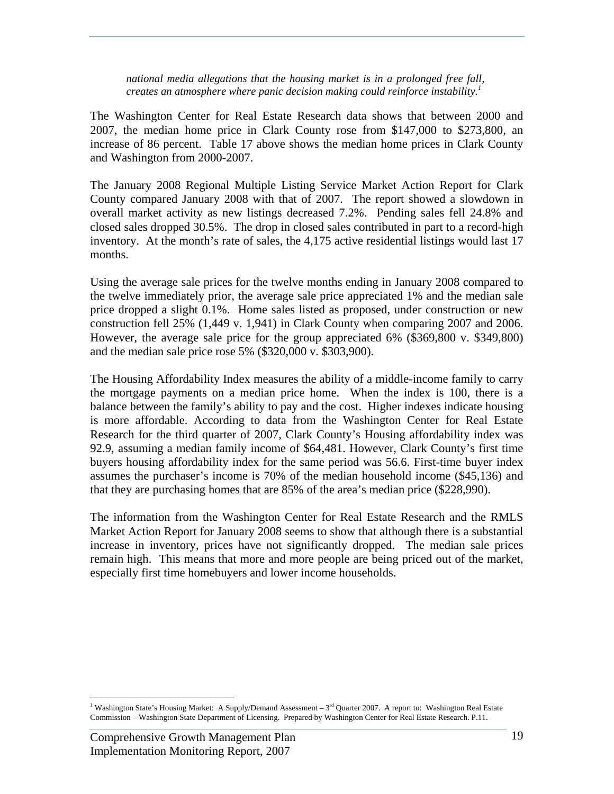*national media allegations that the housing market is in a prolonged free fall, creates an atmosphere where panic decision making could reinforce instability.1* 

The Washington Center for Real Estate Research data shows that between 2000 and 2007, the median home price in Clark County rose from \$147,000 to \$273,800, an increase of 86 percent. Table 17 above shows the median home prices in Clark County and Washington from 2000-2007.

The January 2008 Regional Multiple Listing Service Market Action Report for Clark County compared January 2008 with that of 2007. The report showed a slowdown in overall market activity as new listings decreased 7.2%. Pending sales fell 24.8% and closed sales dropped 30.5%. The drop in closed sales contributed in part to a record-high inventory. At the month's rate of sales, the 4,175 active residential listings would last 17 months.

Using the average sale prices for the twelve months ending in January 2008 compared to the twelve immediately prior, the average sale price appreciated 1% and the median sale price dropped a slight 0.1%. Home sales listed as proposed, under construction or new construction fell 25% (1,449 v. 1,941) in Clark County when comparing 2007 and 2006. However, the average sale price for the group appreciated 6% (\$369,800 v. \$349,800) and the median sale price rose 5% (\$320,000 v. \$303,900).

The Housing Affordability Index measures the ability of a middle-income family to carry the mortgage payments on a median price home. When the index is 100, there is a balance between the family's ability to pay and the cost. Higher indexes indicate housing is more affordable. According to data from the Washington Center for Real Estate Research for the third quarter of 2007, Clark County's Housing affordability index was 92.9, assuming a median family income of \$64,481. However, Clark County's first time buyers housing affordability index for the same period was 56.6. First-time buyer index assumes the purchaser's income is 70% of the median household income (\$45,136) and that they are purchasing homes that are 85% of the area's median price (\$228,990).

The information from the Washington Center for Real Estate Research and the RMLS Market Action Report for January 2008 seems to show that although there is a substantial increase in inventory, prices have not significantly dropped. The median sale prices remain high. This means that more and more people are being priced out of the market, especially first time homebuyers and lower income households.

 $\frac{1}{1}$ <sup>1</sup> Washington State's Housing Market: A Supply/Demand Assessment –  $3<sup>rd</sup>$  Quarter 2007. A report to: Washington Real Estate Commission – Washington State Department of Licensing. Prepared by Washington Center for Real Estate Research. P.11.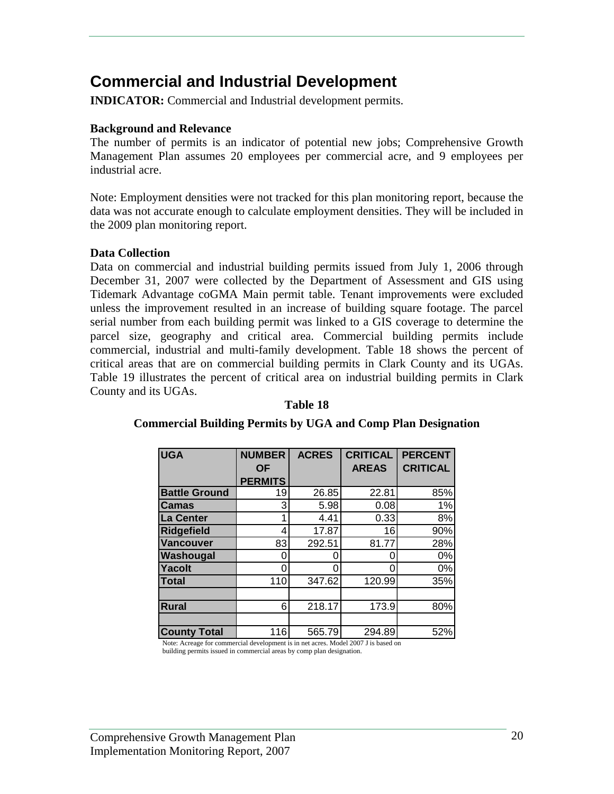# **Commercial and Industrial Development**

**INDICATOR:** Commercial and Industrial development permits.

### **Background and Relevance**

The number of permits is an indicator of potential new jobs; Comprehensive Growth Management Plan assumes 20 employees per commercial acre, and 9 employees per industrial acre.

Note: Employment densities were not tracked for this plan monitoring report, because the data was not accurate enough to calculate employment densities. They will be included in the 2009 plan monitoring report.

#### **Data Collection**

Data on commercial and industrial building permits issued from July 1, 2006 through December 31, 2007 were collected by the Department of Assessment and GIS using Tidemark Advantage coGMA Main permit table. Tenant improvements were excluded unless the improvement resulted in an increase of building square footage. The parcel serial number from each building permit was linked to a GIS coverage to determine the parcel size, geography and critical area. Commercial building permits include commercial, industrial and multi-family development. Table 18 shows the percent of critical areas that are on commercial building permits in Clark County and its UGAs. Table 19 illustrates the percent of critical area on industrial building permits in Clark County and its UGAs.

| <b>UGA</b>           | <b>NUMBER</b>  | <b>ACRES</b> | <b>CRITICAL</b> | <b>PERCENT</b>  |
|----------------------|----------------|--------------|-----------------|-----------------|
|                      | <b>OF</b>      |              | <b>AREAS</b>    | <b>CRITICAL</b> |
|                      | <b>PERMITS</b> |              |                 |                 |
| <b>Battle Ground</b> | 19             | 26.85        | 22.81           | 85%             |
| Camas                | 3              | 5.98         | 0.08            | 1%              |
| <b>La Center</b>     | 1              | 4.41         | 0.33            | 8%              |
| <b>Ridgefield</b>    | 4              | 17.87        | 16              | 90%             |
| <b>Vancouver</b>     | 83             | 292.51       | 81.77           | 28%             |
| Washougal            | n              |              | O               | 0%              |
| <b>Yacolt</b>        | ი              | ი            | 0               | 0%              |
| <b>Total</b>         | 110            | 347.62       | 120.99          | 35%             |
|                      |                |              |                 |                 |
| <b>Rural</b>         | 6              | 218.17       | 173.9           | 80%             |
|                      |                |              |                 |                 |
| <b>County Total</b>  | 116            | 565.79       | 294.89          | 52%             |

### **Table 18 Commercial Building Permits by UGA and Comp Plan Designation**

Note: Acreage for commercial development is in net acres. Model 2007 J is based on building permits issued in commercial areas by comp plan designation.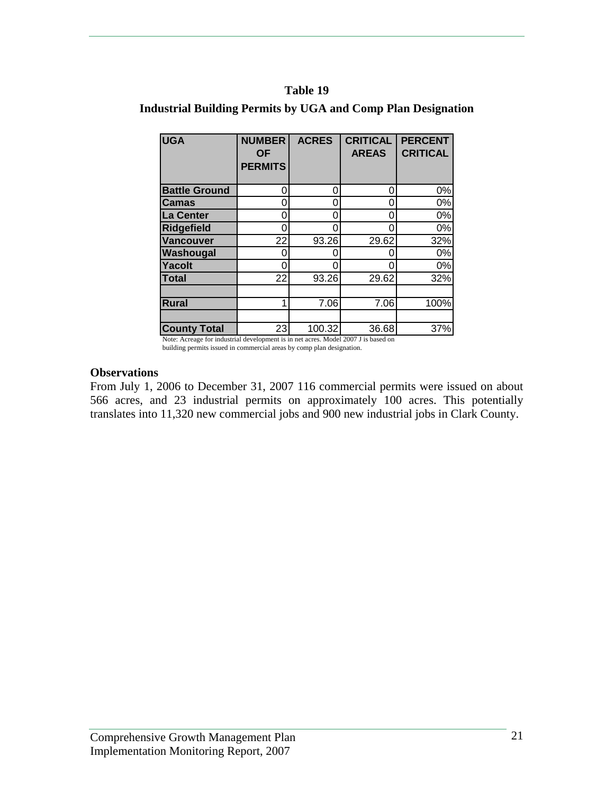#### **Table 19**

| <b>UGA</b>                                                                                               | <b>NUMBER</b><br><b>OF</b><br><b>PERMITS</b> | <b>ACRES</b> | <b>CRITICAL</b><br><b>AREAS</b> | <b>PERCENT</b><br><b>CRITICAL</b> |
|----------------------------------------------------------------------------------------------------------|----------------------------------------------|--------------|---------------------------------|-----------------------------------|
| <b>Battle Ground</b>                                                                                     |                                              | 0            | C                               | 0%                                |
| <b>Camas</b>                                                                                             | O                                            | 0            | 0                               | 0%                                |
| <b>La Center</b>                                                                                         |                                              | C            |                                 | 0%                                |
| <b>Ridgefield</b>                                                                                        | O                                            | 0            | 0                               | 0%                                |
| <b>Vancouver</b>                                                                                         | 22                                           | 93.26        | 29.62                           | 32%                               |
| Washougal                                                                                                |                                              |              |                                 | 0%                                |
| <b>Yacolt</b>                                                                                            |                                              | 0            |                                 | 0%                                |
| <b>Total</b>                                                                                             | 22                                           | 93.26        | 29.62                           | 32%                               |
|                                                                                                          |                                              |              |                                 |                                   |
| <b>Rural</b>                                                                                             | 1                                            | 7.06         | 7.06                            | 100%                              |
|                                                                                                          |                                              |              |                                 |                                   |
| <b>County Total</b><br>Note: Agreege for industrial development is in not earne. Model 2007 Lis begad on | 23                                           | 100.32       | 36.68                           | 37%                               |

#### **Industrial Building Permits by UGA and Comp Plan Designation**

Note: Acreage for industrial development is in net acres. Model 2007 J is based on building permits issued in commercial areas by comp plan designation.

#### **Observations**

From July 1, 2006 to December 31, 2007 116 commercial permits were issued on about 566 acres, and 23 industrial permits on approximately 100 acres. This potentially translates into 11,320 new commercial jobs and 900 new industrial jobs in Clark County.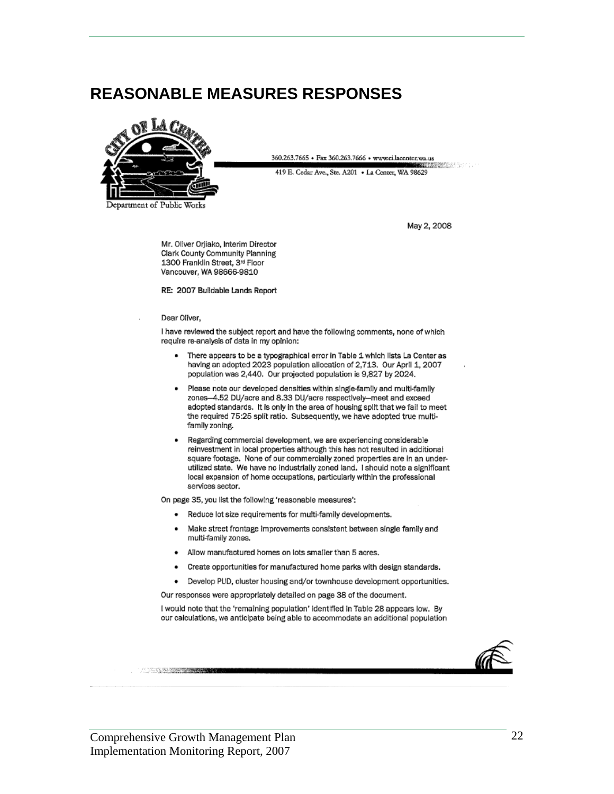# **REASONABLE MEASURES RESPONSES**



Department of Public Works

360.263.7665 · Fax 360.263.7666 · www.ci.lacenter.wa.us **CONTRACTOR** 

419 E. Cedar Ave., Ste. A201 . La Center, WA 98629

May 2, 2008

Mr. Oliver Orjiako, Interim Director Clark County Community Planning 1300 Franklin Street, 3rd Floor Vancouver, WA 98666-9810

RE: 2007 Buildable Lands Report

#### Dear Oliver,

I have reviewed the subject report and have the following comments, none of which require re-analysis of data in my opinion:

- There appears to be a typographical error in Table 1 which lists La Center as having an adopted 2023 population aliocation of 2,713. Our April 1, 2007 population was 2,440. Our projected population is 9,827 by 2024.
- Please note our developed densities within single-family and multi-family zones-4.52 DU/acre and 8.33 DU/acre respectively-meet and exceed adopted standards. It is only in the area of housing split that we fail to meet the required 75:25 split ratio. Subsequently, we have adopted true multifamily zoning.
- Regarding commercial development, we are experiencing considerable reinvestment in local properties although this has not resulted in additional square footage. None of our commercially zoned properties are in an underutilized state. We have no industrially zoned land. I should note a significant local expansion of home occupations, particularly within the professional services sector.

On page 35, you list the following 'reasonable measures':

- Reduce lot size requirements for multi-family developments.
- Make street frontage improvements consistent between single family and multi-family zones.
- Allow manufactured homes on lots smaller than 5 acres.
- Create opportunities for manufactured home parks with design standards. ٠
- Develop PUD, cluster housing and/or townhouse development opportunities.

Our responses were appropriately detailed on page 38 of the document.

I would note that the 'remaining population' identified in Table 28 appears low. By our calculations, we anticipate being able to accommodate an additional population



A CONTRACTOR OF THE STATE OF THE REAL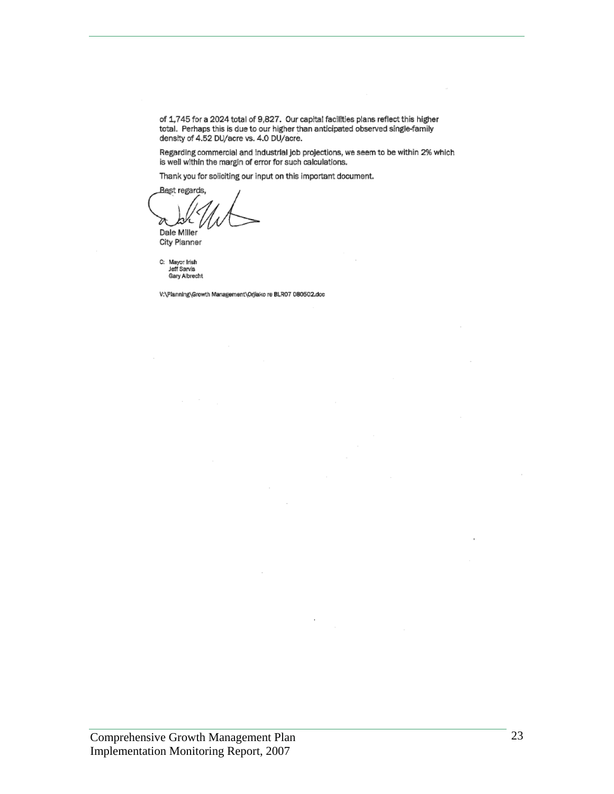of 1,745 for a 2024 total of 9,827. Our capital facilities plans reflect this higher total. Perhaps this is due to our higher than anticipated observed single-family density of 4.52 DU/acre vs. 4.0 DU/acre.

Regarding commercial and industrial job projections, we seem to be within 2% which is well within the margin of error for such calculations.

Thank you for soliciting our input on this important document.

Best regards, Dale Miller

City Planner

C: Mayor Irish<br>Jeff Sarvis<br>Gary Albrecht

V:\Planning\Growth Management\Orjiako re BLR07 080502.doc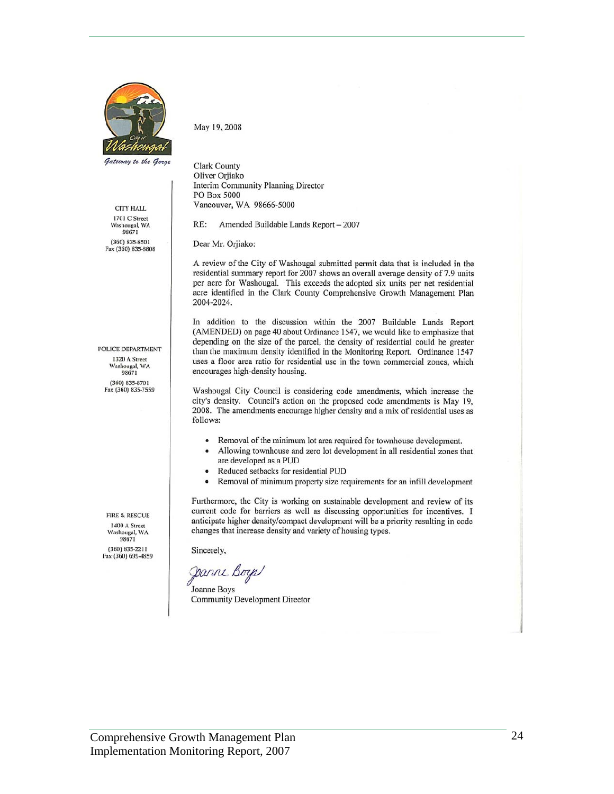

**CITY HALL** 1701 C Street Washougal, WA

98671  $(360) 835-8501$ 

Fax (360) 835-8808

POLICE DEPARTMENT

1320 A Street

Washougal, WA

98671 (360) 835-8701 Fax (360) 835-7559 May 19, 2008

**Clark County** Oliver Orjiako Interim Community Planning Director PO Box 5000 Vancouver, WA 98666-5000

 $RE:$ Amended Buildable Lands Report - 2007

Dear Mr. Orjiako:

A review of the City of Washougal submitted permit data that is included in the residential summary report for 2007 shows an overall average density of 7.9 units per acre for Washougal. This exceeds the adopted six units per net residential acre identified in the Clark County Comprehensive Growth Management Plan 2004-2024.

In addition to the discussion within the 2007 Buildable Lands Report (AMENDED) on page 40 about Ordinance 1547, we would like to emphasize that depending on the size of the parcel, the density of residential could be greater than the maximum density identified in the Monitoring Report. Ordinance 1547 uses a floor area ratio for residential use in the town commercial zones, which encourages high-density housing.

Washougal City Council is considering code amendments, which increase the city's density. Council's action on the proposed code amendments is May 19, 2008. The amendments encourage higher density and a mix of residential uses as follows:

- Removal of the minimum lot area required for townhouse development.  $\bullet$
- $\bullet$ Allowing townhouse and zero lot development in all residential zones that are developed as a PUD
- Reduced setbacks for residential PUD
- $\bullet$ Removal of minimum property size requirements for an infill development

Furthermore, the City is working on sustainable development and review of its current code for barriers as well as discussing opportunities for incentives. I anticipate higher density/compact development will be a priority resulting in code changes that increase density and variety of housing types.

Sincerely,

Janne Boys

Joanne Boys Community Development Director

**FIRE & RESCUE** 1400 A Street Washougal, WA 98671

 $(360) 835 - 2211$ Fax (360) 699-4859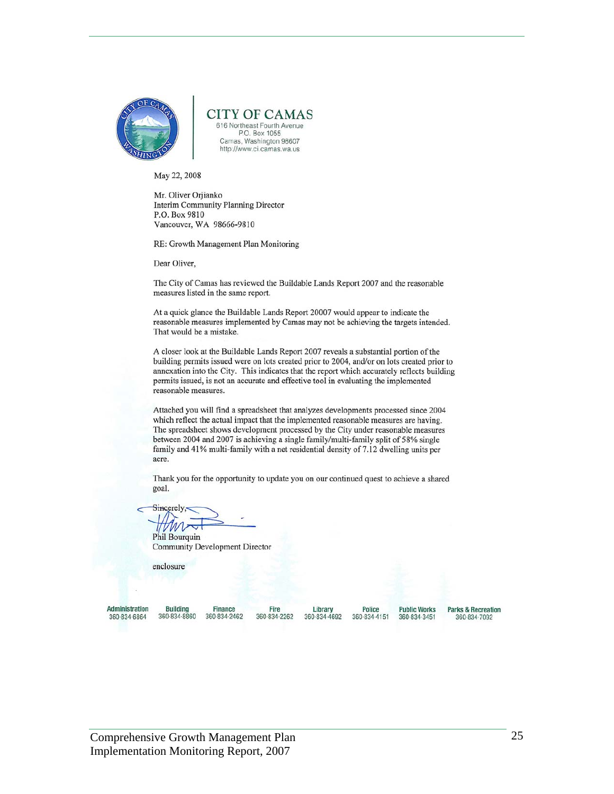

**CITY OF CAMAS** 616 Northeast Fourth Avenue P.O. Box 1055 Camas, Washington 98607 http://www.ci.camas.wa.us

May 22, 2008

Mr. Oliver Orjianko Interim Community Planning Director P.O. Box 9810 Vancouver, WA 98666-9810

RE: Growth Management Plan Monitoring

Dear Oliver,

The City of Camas has reviewed the Buildable Lands Report 2007 and the reasonable measures listed in the same report.

At a quick glance the Buildable Lands Report 20007 would appear to indicate the reasonable measures implemented by Camas may not be achieving the targets intended. That would be a mistake.

A closer look at the Buildable Lands Report 2007 reveals a substantial portion of the building permits issued were on lots created prior to 2004, and/or on lots created prior to annexation into the City. This indicates that the report which accurately reflects building permits issued, is not an accurate and effective tool in evaluating the implemented reasonable measures.

Attached you will find a spreadsheet that analyzes developments processed since 2004 which reflect the actual impact that the implemented reasonable measures are having. The spreadsheet shows development processed by the City under reasonable measures between 2004 and 2007 is achieving a single family/multi-family split of 58% single family and 41% multi-family with a net residential density of 7.12 dwelling units per acre.

Thank you for the opportunity to update you on our continued quest to achieve a shared goal.

rel חול

**Phil Bourquin Community Development Director** 

enclosure

**Building** 

360-834-8860

Administration 360-834-6864

Finance 360-834-2462

Library 360-834-2262 360-834-4692

Fire

Police **Public Works** 360-834-4151 360-834-3451 **Parks & Recreation** 360-834-7092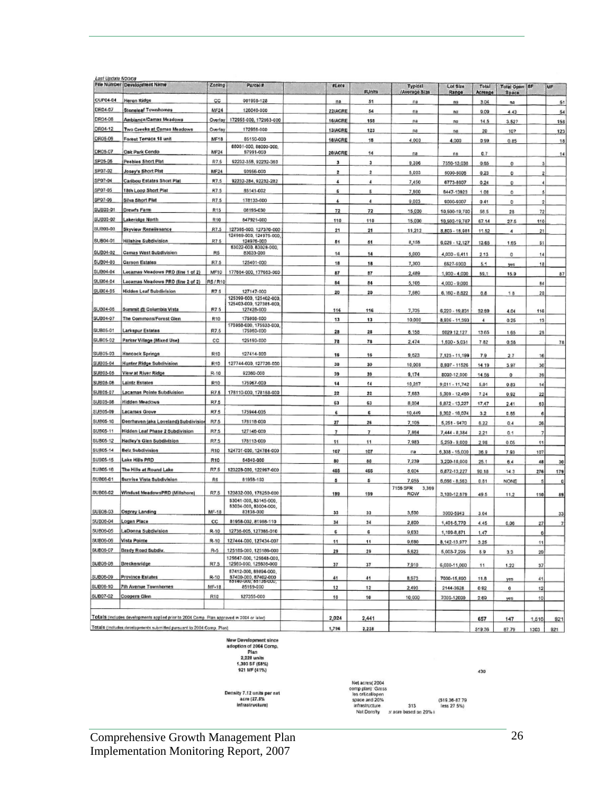| Last Update 5/20/08 |                                                                                           |                 |                                                   |                      |                  |                          |                                    |                  |                        |                      |     |
|---------------------|-------------------------------------------------------------------------------------------|-----------------|---------------------------------------------------|----------------------|------------------|--------------------------|------------------------------------|------------------|------------------------|----------------------|-----|
|                     | File Number Development Name                                                              | Zoning          | Parcel #                                          | #Lots                | #Units           | Typical<br>/Average Size | Lot Size<br>Range                  | Total<br>Acreage | Total Open 8F<br>Space |                      | MF  |
| <b>CUP04-04</b>     | Heron Ridge                                                                               | CC              | 081958-128                                        | na                   | 51               | na                       | ma                                 | 3.04             | na                     |                      | 51  |
| DR04-07             | <b>Stoneleaf Townhomes</b>                                                                | <b>MF24</b>     | 126040-000                                        | 22/ACRE              | 54               | na                       | na                                 | 9.09             | 4.43                   |                      | 54  |
| DR04-08             | Ambiance/Camas Meadows                                                                    | Overlay         | 172955-000, 172963-000                            | 16/ACRE              | 158              | ma                       | ma                                 | 14.5             | 3.527                  |                      | 158 |
| DR04-12             | Two Creeks at Camas Meadows                                                               | Overlay         | 172956-000                                        | 13/ACRE              | 123              | na                       | na                                 | 20               | 10?                    |                      | 123 |
| <b>DR05-06</b>      | Forest Terrace 18 unit                                                                    | MF18            | 85150-000                                         | 18/ACRE              | 18               | 4,000                    | 4,000                              | 0.99             | 0.85                   |                      | 18  |
| DR05-07             | <b>Cak Park Condo</b>                                                                     | MF24            | 68001-000, 88000-000,<br>87991-000                | 20/ACRE              | 14               | na                       | na                                 | 0.7              |                        |                      | 14  |
| SP05-06             | Peebles Short Plat                                                                        | R7.5            | 92232-358, 92232-360                              | 3                    | Ĵ                | 9,396                    | 7556-13,038                        | 0.65             | o                      | $\mathbf{3}$         |     |
| SP07-02             | Josey's Short Plat                                                                        | MF24            | 90956-000                                         | $\overline{z}$       | $\boldsymbol{2}$ | 5,003                    | 5000-5008                          | 0.23             | ۰                      | $\overline{2}$       |     |
| SP07-04             | Caribou Estates Short Plat                                                                | R7.5            | 92232-284, 92232-282                              | $\ddot{\phantom{1}}$ | A                | 7,450                    | 6773-8907                          | 0.24             | 0                      | $\overline{4}$       |     |
| SP07-05             | 18th Loop Short Plat                                                                      | R7.5            | 85141-002                                         | 5                    | 5                | 7,800                    | 6447-13823                         | 1.08             | ۰                      | 5                    |     |
| SP07-06             | Silva Short Plat                                                                          | R7.5            | 178133-000                                        |                      | 4                | 9,003                    | 9000-9007                          | 0.41             | 0                      | $\overline{2}$       |     |
| SUB03-01            | Drewfs Farm                                                                               | R <sub>15</sub> | 08195-030                                         | 72                   | 72               | 15,000                   | 10,500-19,700                      | 58.5             | 28                     | 72                   |     |
| SUB03-02            | akeridge North                                                                            | R10             | 847921-000                                        | 110                  | 110              | 15,000                   | 10,502-19,787                      | 67.14            | 27.5                   | 110                  |     |
| SUB03-03            | Skyview Renaiissance                                                                      | R7.5            | 127385-000, 127370-000                            | 21                   | 21               | 11,212                   | 8,803 - 16,981                     | 11.52            | 4                      | 21                   |     |
| SUB04-01            | Hillshire Subdivision                                                                     | R7.5            | 124959-000, 124975-000,<br>124976-000             | 81                   | 61               | 8,158                    | $6,029 - 12,127$                   | 13.65            | 1.65                   | 51                   |     |
| SUB04-02            | <b>Camas West Subdivision</b>                                                             | <b>R5</b>       | 83022-000. 83028-000.<br>83033-000                | 14                   | 14               | 5,000                    | $4,000 - 6,411$                    | 2.13             |                        |                      |     |
| SUB04-03            | <b>Garson Estates</b>                                                                     | R7.5            | 125401-000                                        | 18                   | 18               | 7,300                    | 6827-9000                          | 5,1              | 0                      | 14<br>18             |     |
| SUB04-04            | Lacamas Meadows PRD (line 1 of 2)                                                         | MF10            | 177664-000, 177663-000                            | 87                   | 87               | 2,489                    | 1,900 - 4,000                      | 59.1             | yes<br>15.9            |                      | 87  |
| SUB04-04            | Lacamas Meadows PRD (line 2 of 2)                                                         | R5/R10          |                                                   | 84                   | 84               | 5,106                    | $4,000 - 9,000$                    |                  |                        | 84                   |     |
| SUB04-05            | <b>Hidden Leaf Subdivision</b>                                                            | R7.5            | 127147-000                                        | 20                   | 20               | 7,660                    | $6,160 - 8,822$                    | 6.8              | 1.8                    | 20                   |     |
|                     |                                                                                           |                 | 125399-000, 125402-000<br>125403-000, 127381-000, |                      |                  |                          |                                    |                  |                        |                      |     |
| SUB04-06            | Summit @ Columbia Vista                                                                   | R7.5            | 127428-000                                        | 116                  | 116              | 7,705                    | 6,220 - 19,831                     | 32.89            | 4.04                   | 116                  |     |
| SUB04-07            | The Commons/Forest Glen                                                                   | R <sub>10</sub> | 175956-000                                        | 13                   | 13               | 10,000                   | 8,936 - 11,393                     | $\overline{4}$   | 0.25                   | 13                   |     |
| SUB05-01            | Larkspur Estates                                                                          | R7.5            | 175958-000, 175933-000,<br>175960-000             | 28                   | 28               | 8,158                    | 6029 12,127                        | 13.65            | 1.65                   | 28                   |     |
| SUB05-02            | Parker Village (Mixed Use)                                                                | cc              | 125190-000                                        | 78                   | 78               | 2,474                    | 1,600 - 5,031                      | 7.82             | 0.58                   |                      | 78  |
| SUB05-03            | Hancock Springs                                                                           | R <sub>10</sub> | 127414-000                                        |                      |                  |                          |                                    |                  |                        |                      |     |
| SUB05-04            | Hunter Ridge Subdivision                                                                  | R10             | 127744-000, 127726-000                            | 16                   | 16               | 9,623                    | 7,125 - 11,199                     | 7.9              | 2.7                    | 16                   |     |
| SUB05-05            | View at River Ridge                                                                       | R-10            | 92360-000                                         | 30<br>39             | 30<br>39         | 10,008                   | $8,907 - 11526$                    | 14.19            | 3.97                   | 30                   |     |
| SUB05-06            | <b>Laintz Estates</b>                                                                     | R10             | 175967-000                                        | 14                   | 14               | 9,174                    | 8000-12,000                        | 14.56            | 0                      | 39                   |     |
| SUB05-07            | Lacamas Pointe Subdivision                                                                | R7.5            | 178110-000, 178158-000                            | 22                   | 22               | 10,267<br>7,683          | $9,011 - 11,742$<br>5,309 - 12,480 | 5,01<br>7.24     | 0.83<br>0.92           | 14                   |     |
| SUB05-08            | Hidden Meadows                                                                            | R7.5            |                                                   | 63                   | 63               | 8,004                    | 6,872 - 13,227                     | 17,47            | 2.41                   | 22<br>63             |     |
| SUB05-09            | Lacamas Grove                                                                             | R7.5            | 175944-005                                        | 6                    | 6                | 10,449                   | 8,302 - 16,074                     | 3.2              | 0.85                   | €                    |     |
| SUB05-10            | Deerhaven (aka Loveland) Subdivision                                                      | R7.5            | 176118-000                                        | 27                   | 26               | 7,106                    | 5,251 - 9470                       | 6.22             | 0.4                    | 26                   |     |
| SUB05-11            | Hidden Leaf Phase 2 Subdivision                                                           | R7.5            | 127146-000                                        | $\overline{7}$       | 7                | 7,864                    | 7,444 - 8,384                      | 2.21             | 0.1                    |                      |     |
| SUB05-12            | Hadley's Glen Subdivision                                                                 | R7.5            | 178113-000                                        | 11                   | 11               | 7,983                    | 5,250 - 9,000                      | 298              | 0.05                   | $\ddot{\phantom{1}}$ |     |
| SUB05-14            | Belz Subdivision                                                                          | R10             | 124731-000, 124784-000                            | 107                  | 107              | na                       | $6,338 - 15,000$                   | 36.9             | 7.93                   | 107                  |     |
| SUB05-15            | Lake Hills PRD                                                                            | R10             | 84840-000                                         | 80                   | 80               | 7,239                    | 3,200-18,000                       | 25.1             | 6, 4                   | 48                   | 30  |
| SUB05-16            | The Hills at Round Lake                                                                   | R7.5            | 123228-000, 122997-000                            | 455                  | 455              | 8,004                    | 6,872-13,227                       | 90.18            | 14.3                   | 276                  | 179 |
| SUB06-01            | Sunrise Vista Subdivision                                                                 | R6              | 81958-103                                         | 5                    | 5                | 7,055                    | $6,666 - 8,563$                    | 0.81             | <b>NONE</b>            |                      | O   |
| SUB06-02            | Windust MeadowsPRD (Millshore)                                                            | R7.5            | 123832-000, 178250-000                            | 199                  | 199              | 7156 SFR<br>3,369<br>ROW | 3,100-12,579                       | 49.5             | 11.2                   | 110                  | 89  |
|                     |                                                                                           |                 | 53041-000, 53145-000,                             |                      |                  |                          |                                    |                  |                        |                      |     |
| SUB08-03            | <b>Osprey Landing</b>                                                                     | MF-18           | 83034-000, 83004-000,<br>83138-000                | 33                   | 33               | 3,500                    | 3000-5943                          | 3.04             |                        |                      | 33  |
| SUB06-04            | <b>Logan Place</b>                                                                        | $_{\rm cc}$     | 81958-002, 81958-110                              | 34                   | 34               | 2,800                    | 1,401-5,770                        | 4.45             | 0.06                   | 27                   | 7   |
| SUB05-05            | LaDonna Subdivision                                                                       | R-10            | 12738-005, 127386-010                             | 6                    | 6                | 9,633                    | 1,199-8,871                        | 1.47             |                        | 6                    |     |
| SUB06-06            | Vista Pointe                                                                              | R-10            | 127444-000, 127434-007                            | 11                   | 11               | 9,680                    | 8,142-13,977                       | 3.25             |                        | 11                   |     |
| SUB06-07            | Brady Road Subdiv.                                                                        | $R-5$           | 125185-000, 125186-000                            | 29                   | 29               | 5,623                    | 5,003-7,295                        | 8.9              | 3.3                    | 29                   |     |
| SUB06-06            | Breckenridge                                                                              | R7.5            | 125647-000, 125848-000,<br>12560-000, 125636-000  | 37                   | 37               | 7,910                    |                                    |                  |                        |                      |     |
|                     |                                                                                           |                 | 87412-000, 89894-000,                             |                      |                  |                          | 6,000-11,000                       | 11               | 1.22                   | 37                   |     |
| SUB06-09            | Province Estates                                                                          | R-10            | 87400-000, 87402-000<br>85140-000, 85136-000,     | 41                   | 41               | 8,973                    | 7000-15,890                        | 11.8             | yes                    | 41                   |     |
| SUB06-10            | 7th Avenue Townhomes                                                                      | MF-18           | 85169-000                                         | 12                   | 12               | 2,493                    | 2144-3628                          | 0.92             | 0                      | 12                   |     |
| 8UB07-02            | <b>Coopers Glen</b>                                                                       | R10             | 127355-000                                        | 10                   | 10               | 10,000                   | 7000-12000                         | 2.69             | yes                    | 10                   |     |
|                     |                                                                                           |                 |                                                   |                      |                  |                          |                                    |                  |                        |                      |     |
|                     | Totals (includes developments applied prior to 2004 Comp. Plan approved in 2004 or later) |                 |                                                   | 2,024                | 2,441            |                          |                                    | 657              | 147                    | 1,516                | 921 |
|                     | Totals (includes developments submitted pursuant to 2004 Comp. Plan)                      |                 |                                                   | 1,796                | 2,228            |                          |                                    | 519.36           | 87.79                  | 1303                 | 921 |

New Development since<br>adoption of 2004 Comp.<br>Plan<br>2,228 units<br>5,303 SF (58%)<br>921 MF (41%)

Density 7.12 units per net<br>acre (27.6%<br>infrastructure)

Net acres(2004<br>comp plan): Goose<br>les cricallopen<br>space and 20%<br>infrastructure. 313<br>Net Density - ar acre based on 20% i (519.36-87.79)<br>less 27.5%) 430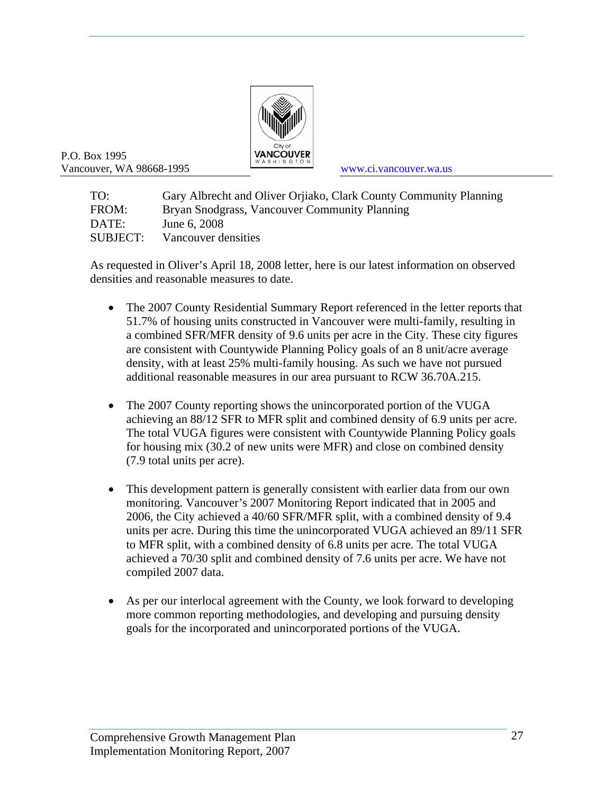

P.O. Box 1995 Vancouver, WA 98668-1995 www.ci.vancouver.wa.us

TO: Gary Albrecht and Oliver Orjiako, Clark County Community Planning FROM: Bryan Snodgrass, Vancouver Community Planning DATE: June 6, 2008 SUBJECT: Vancouver densities

As requested in Oliver's April 18, 2008 letter, here is our latest information on observed densities and reasonable measures to date.

- The 2007 County Residential Summary Report referenced in the letter reports that 51.7% of housing units constructed in Vancouver were multi-family, resulting in a combined SFR/MFR density of 9.6 units per acre in the City. These city figures are consistent with Countywide Planning Policy goals of an 8 unit/acre average density, with at least 25% multi-family housing. As such we have not pursued additional reasonable measures in our area pursuant to RCW 36.70A.215.
- The 2007 County reporting shows the unincorporated portion of the VUGA achieving an 88/12 SFR to MFR split and combined density of 6.9 units per acre. The total VUGA figures were consistent with Countywide Planning Policy goals for housing mix (30.2 of new units were MFR) and close on combined density (7.9 total units per acre).
- This development pattern is generally consistent with earlier data from our own monitoring. Vancouver's 2007 Monitoring Report indicated that in 2005 and 2006, the City achieved a 40/60 SFR/MFR split, with a combined density of 9.4 units per acre. During this time the unincorporated VUGA achieved an 89/11 SFR to MFR split, with a combined density of 6.8 units per acre. The total VUGA achieved a 70/30 split and combined density of 7.6 units per acre. We have not compiled 2007 data.
- As per our interlocal agreement with the County, we look forward to developing more common reporting methodologies, and developing and pursuing density goals for the incorporated and unincorporated portions of the VUGA.